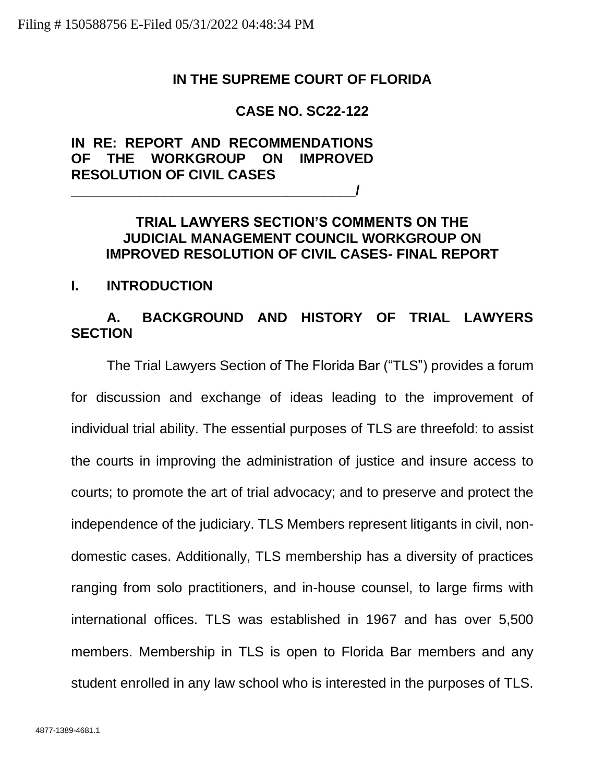## **IN THE SUPREME COURT OF FLORIDA**

# **CASE NO. SC22-122**

# **IN RE: REPORT AND RECOMMENDATIONS OF THE WORKGROUP ON IMPROVED RESOLUTION OF CIVIL CASES \_\_\_\_\_\_\_\_\_\_\_\_\_\_\_\_\_\_\_\_\_\_\_\_\_\_\_\_\_\_\_\_\_\_\_\_\_/**

# **TRIAL LAWYERS SECTION'S COMMENTS ON THE JUDICIAL MANAGEMENT COUNCIL WORKGROUP ON IMPROVED RESOLUTION OF CIVIL CASES- FINAL REPORT**

## **I. INTRODUCTION**

# **A. BACKGROUND AND HISTORY OF TRIAL LAWYERS SECTION**

The Trial Lawyers Section of The Florida Bar ("TLS") provides a forum for discussion and exchange of ideas leading to the improvement of individual trial ability. The essential purposes of TLS are threefold: to assist the courts in improving the administration of justice and insure access to courts; to promote the art of trial advocacy; and to preserve and protect the independence of the judiciary. TLS Members represent litigants in civil, nondomestic cases. Additionally, TLS membership has a diversity of practices ranging from solo practitioners, and in-house counsel, to large firms with international offices. TLS was established in 1967 and has over 5,500 members. Membership in TLS is open to Florida Bar members and any student enrolled in any law school who is interested in the purposes of TLS.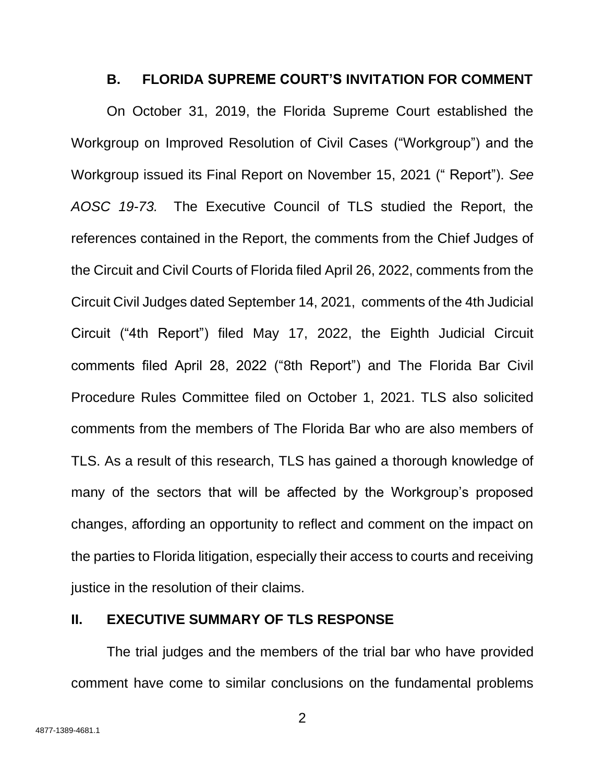### **B. FLORIDA SUPREME COURT'S INVITATION FOR COMMENT**

On October 31, 2019, the Florida Supreme Court established the Workgroup on Improved Resolution of Civil Cases ("Workgroup") and the Workgroup issued its Final Report on November 15, 2021 (" Report"). *See AOSC 19-73.* The Executive Council of TLS studied the Report, the references contained in the Report, the comments from the Chief Judges of the Circuit and Civil Courts of Florida filed April 26, 2022, comments from the Circuit Civil Judges dated September 14, 2021, comments of the 4th Judicial Circuit ("4th Report") filed May 17, 2022, the Eighth Judicial Circuit comments filed April 28, 2022 ("8th Report") and The Florida Bar Civil Procedure Rules Committee filed on October 1, 2021. TLS also solicited comments from the members of The Florida Bar who are also members of TLS. As a result of this research, TLS has gained a thorough knowledge of many of the sectors that will be affected by the Workgroup's proposed changes, affording an opportunity to reflect and comment on the impact on the parties to Florida litigation, especially their access to courts and receiving justice in the resolution of their claims.

## **II. EXECUTIVE SUMMARY OF TLS RESPONSE**

The trial judges and the members of the trial bar who have provided comment have come to similar conclusions on the fundamental problems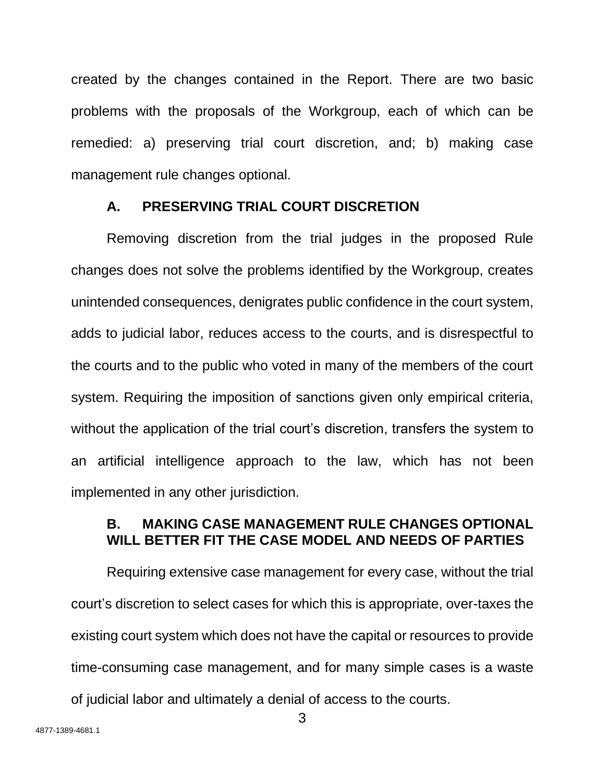created by the changes contained in the Report. There are two basic problems with the proposals of the Workgroup, each of which can be remedied: a) preserving trial court discretion, and; b) making case management rule changes optional.

## **A. PRESERVING TRIAL COURT DISCRETION**

Removing discretion from the trial judges in the proposed Rule changes does not solve the problems identified by the Workgroup, creates unintended consequences, denigrates public confidence in the court system, adds to judicial labor, reduces access to the courts, and is disrespectful to the courts and to the public who voted in many of the members of the court system. Requiring the imposition of sanctions given only empirical criteria, without the application of the trial court's discretion, transfers the system to an artificial intelligence approach to the law, which has not been implemented in any other jurisdiction.

# **B. MAKING CASE MANAGEMENT RULE CHANGES OPTIONAL WILL BETTER FIT THE CASE MODEL AND NEEDS OF PARTIES**

Requiring extensive case management for every case, without the trial court's discretion to select cases for which this is appropriate, over-taxes the existing court system which does not have the capital or resources to provide time-consuming case management, and for many simple cases is a waste of judicial labor and ultimately a denial of access to the courts.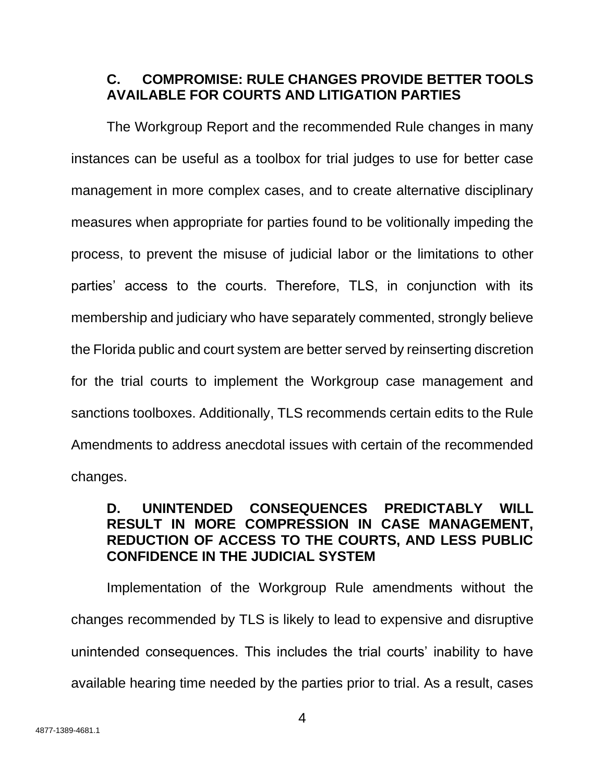# **C. COMPROMISE: RULE CHANGES PROVIDE BETTER TOOLS AVAILABLE FOR COURTS AND LITIGATION PARTIES**

The Workgroup Report and the recommended Rule changes in many instances can be useful as a toolbox for trial judges to use for better case management in more complex cases, and to create alternative disciplinary measures when appropriate for parties found to be volitionally impeding the process, to prevent the misuse of judicial labor or the limitations to other parties' access to the courts. Therefore, TLS, in conjunction with its membership and judiciary who have separately commented, strongly believe the Florida public and court system are better served by reinserting discretion for the trial courts to implement the Workgroup case management and sanctions toolboxes. Additionally, TLS recommends certain edits to the Rule Amendments to address anecdotal issues with certain of the recommended changes.

# **D. UNINTENDED CONSEQUENCES PREDICTABLY WILL RESULT IN MORE COMPRESSION IN CASE MANAGEMENT, REDUCTION OF ACCESS TO THE COURTS, AND LESS PUBLIC CONFIDENCE IN THE JUDICIAL SYSTEM**

Implementation of the Workgroup Rule amendments without the changes recommended by TLS is likely to lead to expensive and disruptive unintended consequences. This includes the trial courts' inability to have available hearing time needed by the parties prior to trial. As a result, cases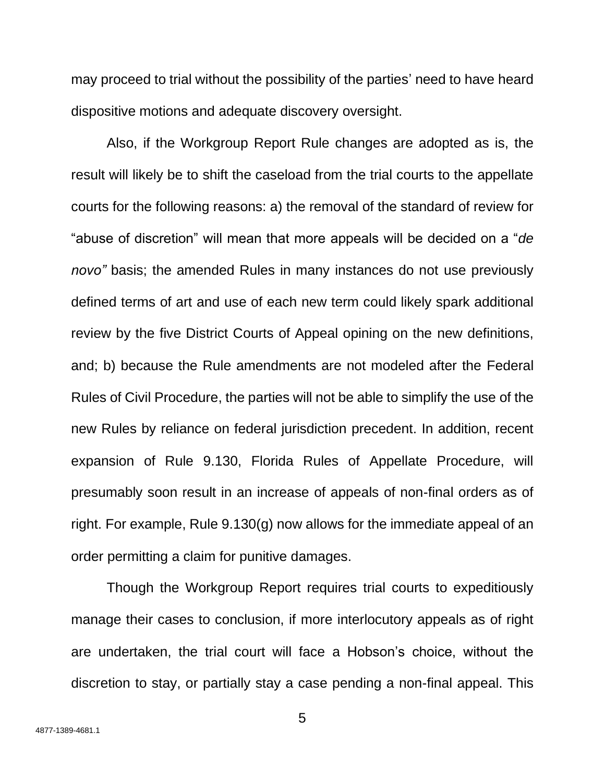may proceed to trial without the possibility of the parties' need to have heard dispositive motions and adequate discovery oversight.

Also, if the Workgroup Report Rule changes are adopted as is, the result will likely be to shift the caseload from the trial courts to the appellate courts for the following reasons: a) the removal of the standard of review for "abuse of discretion" will mean that more appeals will be decided on a "*de novo"* basis; the amended Rules in many instances do not use previously defined terms of art and use of each new term could likely spark additional review by the five District Courts of Appeal opining on the new definitions, and; b) because the Rule amendments are not modeled after the Federal Rules of Civil Procedure, the parties will not be able to simplify the use of the new Rules by reliance on federal jurisdiction precedent. In addition, recent expansion of Rule 9.130, Florida Rules of Appellate Procedure, will presumably soon result in an increase of appeals of non-final orders as of right. For example, Rule 9.130(g) now allows for the immediate appeal of an order permitting a claim for punitive damages.

Though the Workgroup Report requires trial courts to expeditiously manage their cases to conclusion, if more interlocutory appeals as of right are undertaken, the trial court will face a Hobson's choice, without the discretion to stay, or partially stay a case pending a non-final appeal. This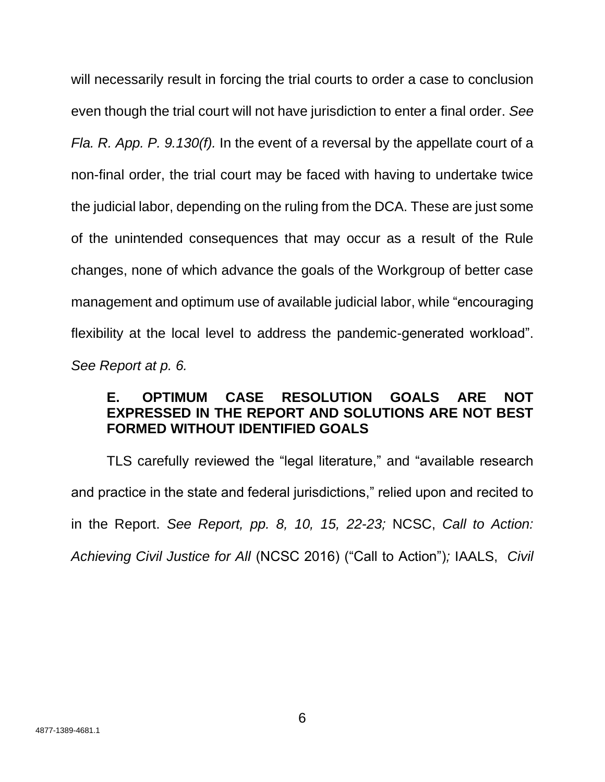will necessarily result in forcing the trial courts to order a case to conclusion even though the trial court will not have jurisdiction to enter a final order. *See Fla. R. App. P. 9.130(f).* In the event of a reversal by the appellate court of a non-final order, the trial court may be faced with having to undertake twice the judicial labor, depending on the ruling from the DCA. These are just some of the unintended consequences that may occur as a result of the Rule changes, none of which advance the goals of the Workgroup of better case management and optimum use of available judicial labor, while "encouraging flexibility at the local level to address the pandemic-generated workload". *See Report at p. 6.*

# **E. OPTIMUM CASE RESOLUTION GOALS ARE NOT EXPRESSED IN THE REPORT AND SOLUTIONS ARE NOT BEST FORMED WITHOUT IDENTIFIED GOALS**

TLS carefully reviewed the "legal literature," and "available research and practice in the state and federal jurisdictions," relied upon and recited to in the Report. *See Report, pp. 8, 10, 15, 22-23;* NCSC, *Call to Action: Achieving Civil Justice for All* (NCSC 2016) ("Call to Action")*;* IAALS, *Civil*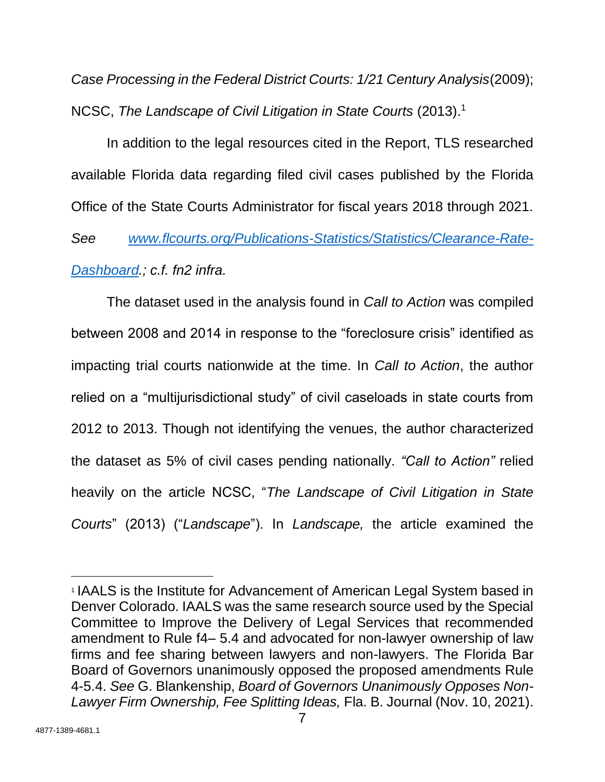*Case Processing in the Federal District Courts: 1/21 Century Analysis*(2009); NCSC, *The Landscape of Civil Litigation in State Courts* (2013).<sup>1</sup>

In addition to the legal resources cited in the Report, TLS researched available Florida data regarding filed civil cases published by the Florida Office of the State Courts Administrator for fiscal years 2018 through 2021.

*See [www.flcourts.org/Publications-Statistics/Statistics/Clearance-Rate-](http://www.flcourts.org/Publications-Statistics/Statistics/Clearance-Rate-Dashboard)[Dashboard.](http://www.flcourts.org/Publications-Statistics/Statistics/Clearance-Rate-Dashboard); c.f. fn2 infra.*

The dataset used in the analysis found in *Call to Action* was compiled between 2008 and 2014 in response to the "foreclosure crisis" identified as impacting trial courts nationwide at the time. In *Call to Action*, the author relied on a "multijurisdictional study" of civil caseloads in state courts from 2012 to 2013. Though not identifying the venues, the author characterized the dataset as 5% of civil cases pending nationally. *"Call to Action"* relied heavily on the article NCSC, "*The Landscape of Civil Litigation in State Courts*" (2013) ("*Landscape*"). In *Landscape,* the article examined the

<sup>1</sup> IAALS is the Institute for Advancement of American Legal System based in Denver Colorado. IAALS was the same research source used by the Special Committee to Improve the Delivery of Legal Services that recommended amendment to Rule f4– 5.4 and advocated for non-lawyer ownership of law firms and fee sharing between lawyers and non-lawyers. The Florida Bar Board of Governors unanimously opposed the proposed amendments Rule 4-5.4. *See* G. Blankenship, *Board of Governors Unanimously Opposes Non-Lawyer Firm Ownership, Fee Splitting Ideas,* Fla. B. Journal (Nov. 10, 2021).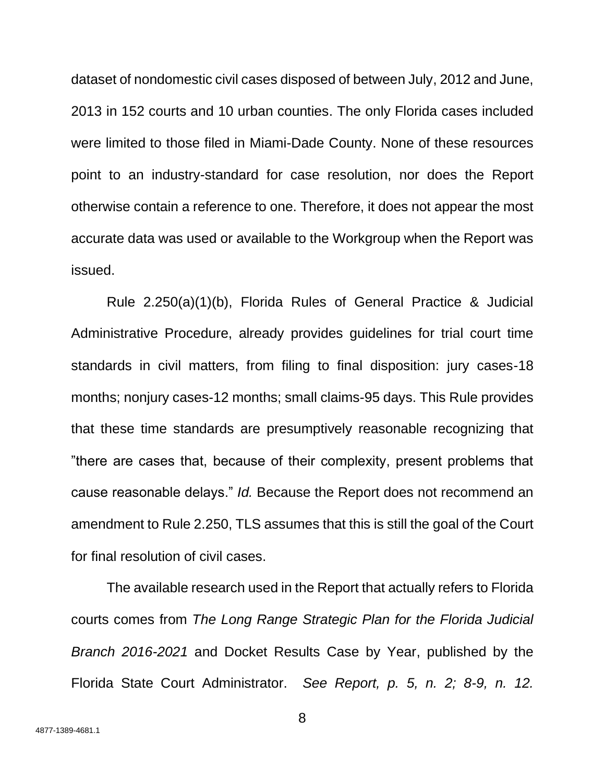dataset of nondomestic civil cases disposed of between July, 2012 and June, 2013 in 152 courts and 10 urban counties. The only Florida cases included were limited to those filed in Miami-Dade County. None of these resources point to an industry-standard for case resolution, nor does the Report otherwise contain a reference to one. Therefore, it does not appear the most accurate data was used or available to the Workgroup when the Report was issued.

Rule 2.250(a)(1)(b), Florida Rules of General Practice & Judicial Administrative Procedure, already provides guidelines for trial court time standards in civil matters, from filing to final disposition: jury cases-18 months; nonjury cases-12 months; small claims-95 days. This Rule provides that these time standards are presumptively reasonable recognizing that "there are cases that, because of their complexity, present problems that cause reasonable delays." *Id.* Because the Report does not recommend an amendment to Rule 2.250, TLS assumes that this is still the goal of the Court for final resolution of civil cases.

The available research used in the Report that actually refers to Florida courts comes from *The Long Range Strategic Plan for the Florida Judicial Branch 2016-2021* and Docket Results Case by Year, published by the Florida State Court Administrator. *See Report, p. 5, n. 2; 8-9, n. 12.*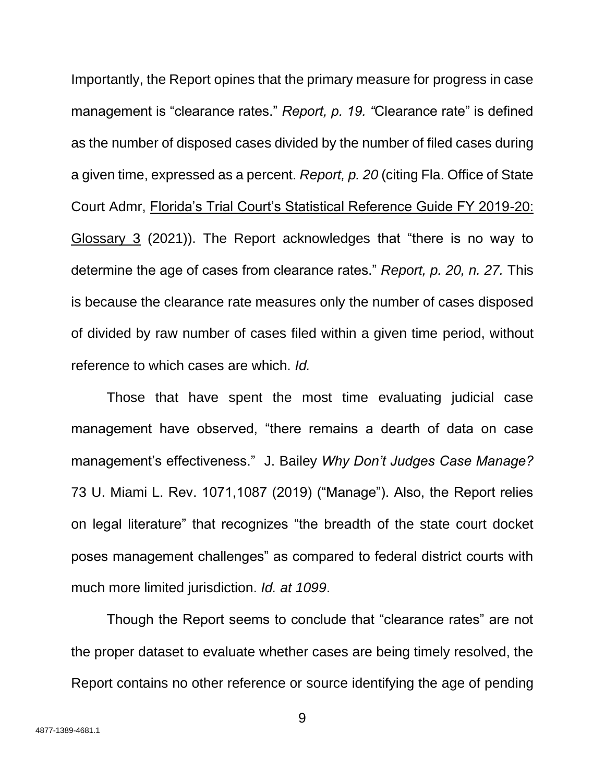Importantly, the Report opines that the primary measure for progress in case management is "clearance rates." *Report, p. 19. "*Clearance rate" is defined as the number of disposed cases divided by the number of filed cases during a given time, expressed as a percent. *Report, p. 20* (citing Fla. Office of State Court Admr, Florida's Trial Court's Statistical Reference Guide FY 2019-20: Glossary 3 (2021)). The Report acknowledges that "there is no way to determine the age of cases from clearance rates." *Report, p. 20, n. 27.* This is because the clearance rate measures only the number of cases disposed of divided by raw number of cases filed within a given time period, without reference to which cases are which. *Id.*

Those that have spent the most time evaluating judicial case management have observed, "there remains a dearth of data on case management's effectiveness." J. Bailey *Why Don't Judges Case Manage?* 73 U. Miami L. Rev. 1071,1087 (2019) ("Manage"). Also, the Report relies on legal literature" that recognizes "the breadth of the state court docket poses management challenges" as compared to federal district courts with much more limited jurisdiction. *Id. at 1099*.

Though the Report seems to conclude that "clearance rates" are not the proper dataset to evaluate whether cases are being timely resolved, the Report contains no other reference or source identifying the age of pending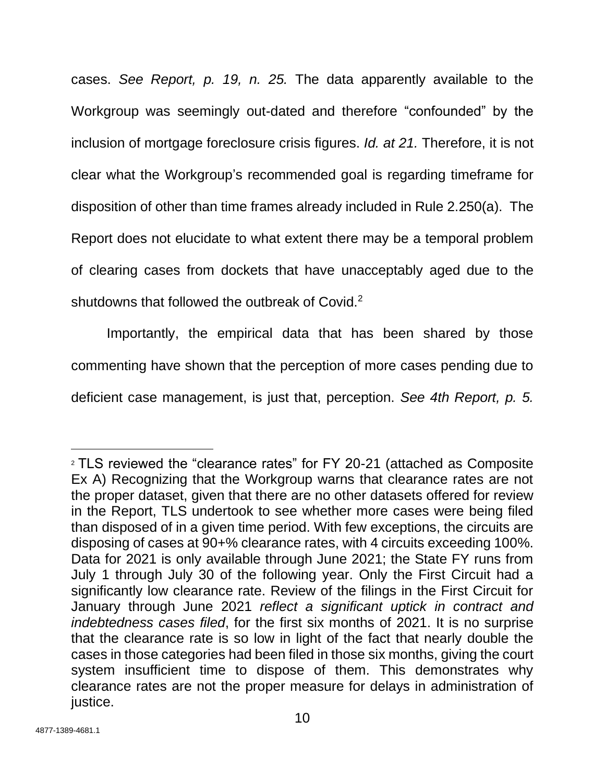cases. *See Report, p. 19, n. 25.* The data apparently available to the Workgroup was seemingly out-dated and therefore "confounded" by the inclusion of mortgage foreclosure crisis figures. *Id. at 21.* Therefore, it is not clear what the Workgroup's recommended goal is regarding timeframe for disposition of other than time frames already included in Rule 2.250(a). The Report does not elucidate to what extent there may be a temporal problem of clearing cases from dockets that have unacceptably aged due to the shutdowns that followed the outbreak of Covid.<sup>2</sup>

Importantly, the empirical data that has been shared by those commenting have shown that the perception of more cases pending due to deficient case management, is just that, perception. *See 4th Report, p. 5.* 

<sup>2</sup> TLS reviewed the "clearance rates" for FY 20-21 (attached as Composite Ex A) Recognizing that the Workgroup warns that clearance rates are not the proper dataset, given that there are no other datasets offered for review in the Report, TLS undertook to see whether more cases were being filed than disposed of in a given time period. With few exceptions, the circuits are disposing of cases at 90+% clearance rates, with 4 circuits exceeding 100%. Data for 2021 is only available through June 2021; the State FY runs from July 1 through July 30 of the following year. Only the First Circuit had a significantly low clearance rate. Review of the filings in the First Circuit for January through June 2021 *reflect a significant uptick in contract and indebtedness cases filed*, for the first six months of 2021. It is no surprise that the clearance rate is so low in light of the fact that nearly double the cases in those categories had been filed in those six months, giving the court system insufficient time to dispose of them. This demonstrates why clearance rates are not the proper measure for delays in administration of justice.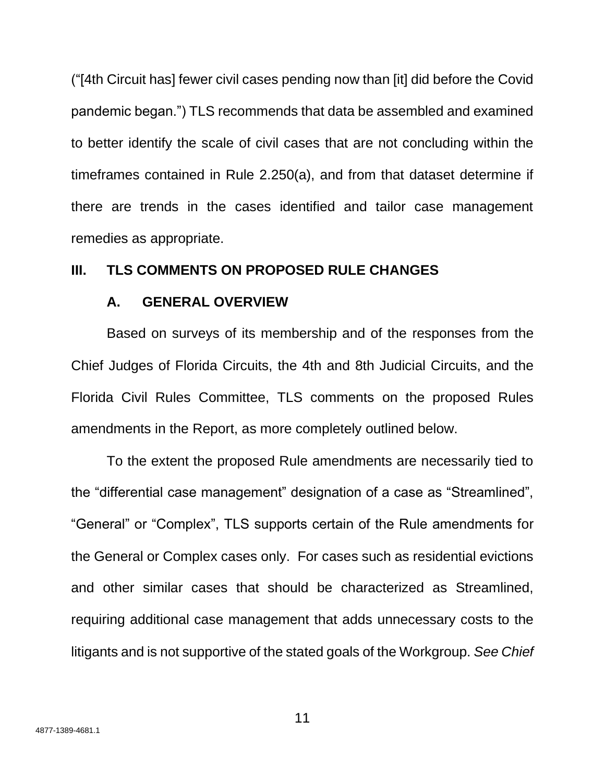("[4th Circuit has] fewer civil cases pending now than [it] did before the Covid pandemic began.") TLS recommends that data be assembled and examined to better identify the scale of civil cases that are not concluding within the timeframes contained in Rule 2.250(a), and from that dataset determine if there are trends in the cases identified and tailor case management remedies as appropriate.

## **III. TLS COMMENTS ON PROPOSED RULE CHANGES**

## **A. GENERAL OVERVIEW**

Based on surveys of its membership and of the responses from the Chief Judges of Florida Circuits, the 4th and 8th Judicial Circuits, and the Florida Civil Rules Committee, TLS comments on the proposed Rules amendments in the Report, as more completely outlined below.

To the extent the proposed Rule amendments are necessarily tied to the "differential case management" designation of a case as "Streamlined", "General" or "Complex", TLS supports certain of the Rule amendments for the General or Complex cases only. For cases such as residential evictions and other similar cases that should be characterized as Streamlined, requiring additional case management that adds unnecessary costs to the litigants and is not supportive of the stated goals of the Workgroup. *See Chief*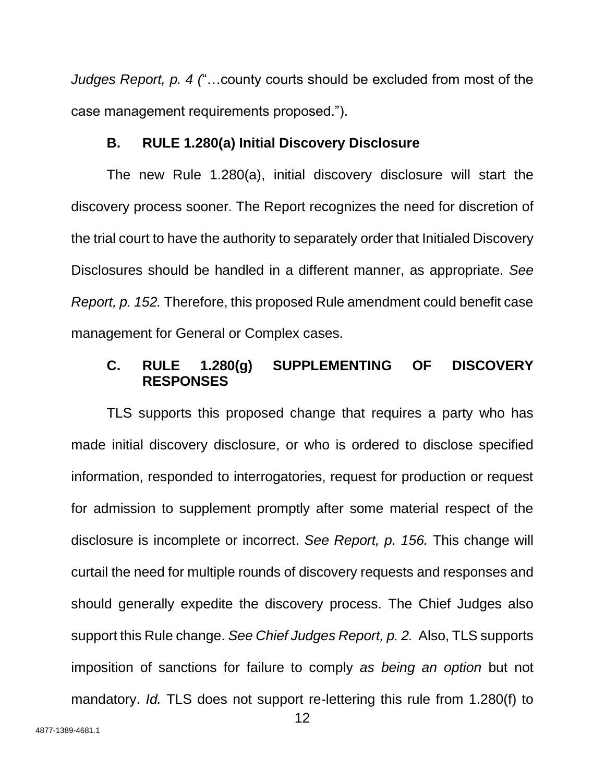*Judges Report, p. 4 (*"…county courts should be excluded from most of the case management requirements proposed.").

## **B. RULE 1.280(a) Initial Discovery Disclosure**

The new Rule 1.280(a), initial discovery disclosure will start the discovery process sooner. The Report recognizes the need for discretion of the trial court to have the authority to separately order that Initialed Discovery Disclosures should be handled in a different manner, as appropriate. *See Report, p. 152.* Therefore, this proposed Rule amendment could benefit case management for General or Complex cases.

## **C. RULE 1.280(g) SUPPLEMENTING OF DISCOVERY RESPONSES**

TLS supports this proposed change that requires a party who has made initial discovery disclosure, or who is ordered to disclose specified information, responded to interrogatories, request for production or request for admission to supplement promptly after some material respect of the disclosure is incomplete or incorrect. *See Report, p. 156.* This change will curtail the need for multiple rounds of discovery requests and responses and should generally expedite the discovery process. The Chief Judges also support this Rule change. *See Chief Judges Report, p. 2.* Also, TLS supports imposition of sanctions for failure to comply *as being an option* but not mandatory. *Id.* TLS does not support re-lettering this rule from 1.280(f) to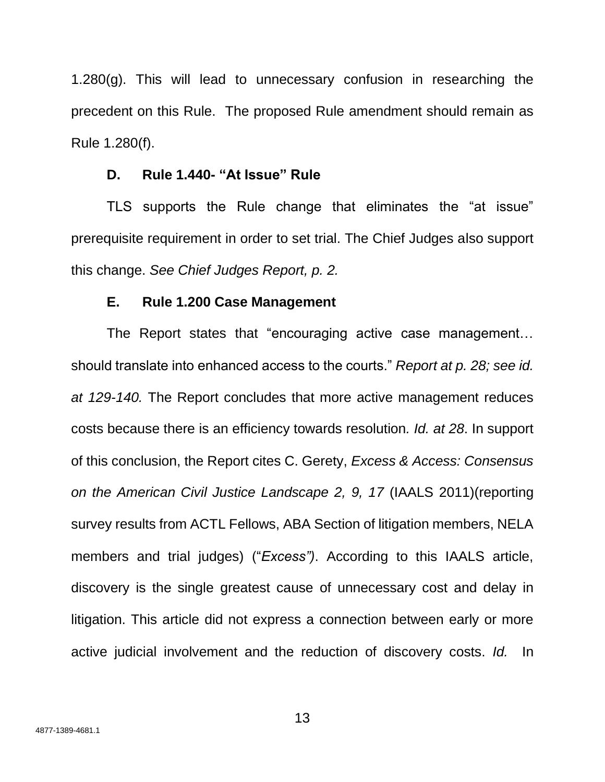1.280(g). This will lead to unnecessary confusion in researching the precedent on this Rule. The proposed Rule amendment should remain as Rule 1.280(f).

## **D. Rule 1.440- "At Issue" Rule**

TLS supports the Rule change that eliminates the "at issue" prerequisite requirement in order to set trial. The Chief Judges also support this change. *See Chief Judges Report, p. 2.*

## **E. Rule 1.200 Case Management**

The Report states that "encouraging active case management… should translate into enhanced access to the courts." *Report at p. 28; see id. at 129-140.* The Report concludes that more active management reduces costs because there is an efficiency towards resolution*. Id. at 28*. In support of this conclusion, the Report cites C. Gerety, *Excess & Access: Consensus on the American Civil Justice Landscape 2, 9, 17* (IAALS 2011)(reporting survey results from ACTL Fellows, ABA Section of litigation members, NELA members and trial judges) ("*Excess")*. According to this IAALS article, discovery is the single greatest cause of unnecessary cost and delay in litigation. This article did not express a connection between early or more active judicial involvement and the reduction of discovery costs. *Id.* In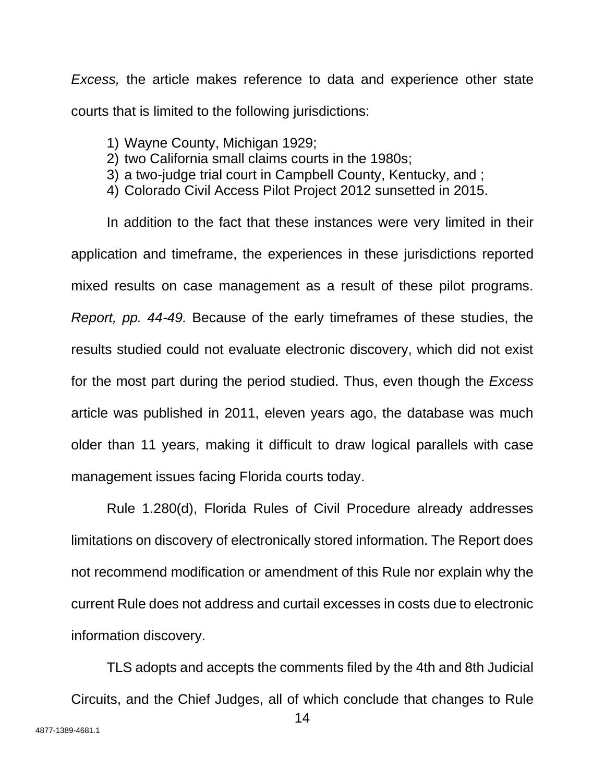*Excess,* the article makes reference to data and experience other state courts that is limited to the following jurisdictions:

- 1) Wayne County, Michigan 1929;
- 2) two California small claims courts in the 1980s;
- 3) a two-judge trial court in Campbell County, Kentucky, and ;
- 4) Colorado Civil Access Pilot Project 2012 sunsetted in 2015.

In addition to the fact that these instances were very limited in their application and timeframe, the experiences in these jurisdictions reported mixed results on case management as a result of these pilot programs. *Report, pp. 44-49.* Because of the early timeframes of these studies, the results studied could not evaluate electronic discovery, which did not exist for the most part during the period studied. Thus, even though the *Excess* article was published in 2011, eleven years ago, the database was much older than 11 years, making it difficult to draw logical parallels with case management issues facing Florida courts today.

Rule 1.280(d), Florida Rules of Civil Procedure already addresses limitations on discovery of electronically stored information. The Report does not recommend modification or amendment of this Rule nor explain why the current Rule does not address and curtail excesses in costs due to electronic information discovery.

TLS adopts and accepts the comments filed by the 4th and 8th Judicial Circuits, and the Chief Judges, all of which conclude that changes to Rule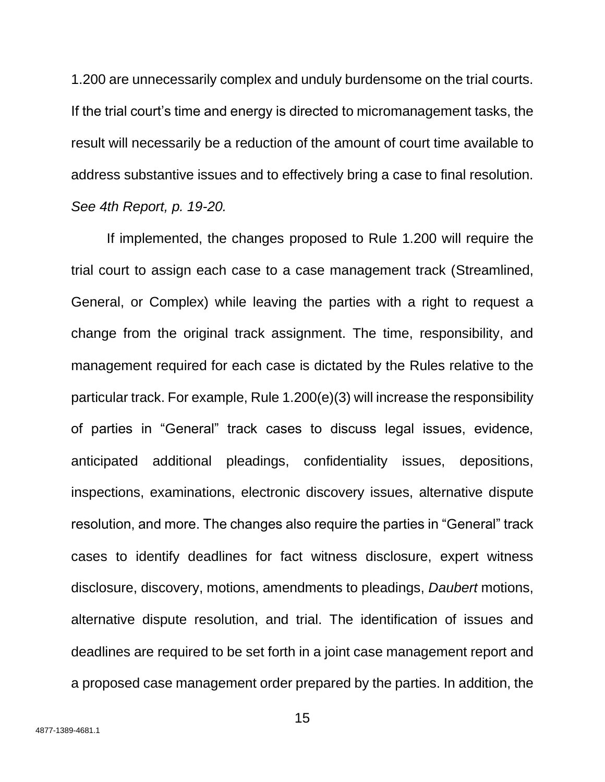1.200 are unnecessarily complex and unduly burdensome on the trial courts. If the trial court's time and energy is directed to micromanagement tasks, the result will necessarily be a reduction of the amount of court time available to address substantive issues and to effectively bring a case to final resolution. *See 4th Report, p. 19-20.* 

If implemented, the changes proposed to Rule 1.200 will require the trial court to assign each case to a case management track (Streamlined, General, or Complex) while leaving the parties with a right to request a change from the original track assignment. The time, responsibility, and management required for each case is dictated by the Rules relative to the particular track. For example, Rule 1.200(e)(3) will increase the responsibility of parties in "General" track cases to discuss legal issues, evidence, anticipated additional pleadings, confidentiality issues, depositions, inspections, examinations, electronic discovery issues, alternative dispute resolution, and more. The changes also require the parties in "General" track cases to identify deadlines for fact witness disclosure, expert witness disclosure, discovery, motions, amendments to pleadings, *Daubert* motions, alternative dispute resolution, and trial. The identification of issues and deadlines are required to be set forth in a joint case management report and a proposed case management order prepared by the parties. In addition, the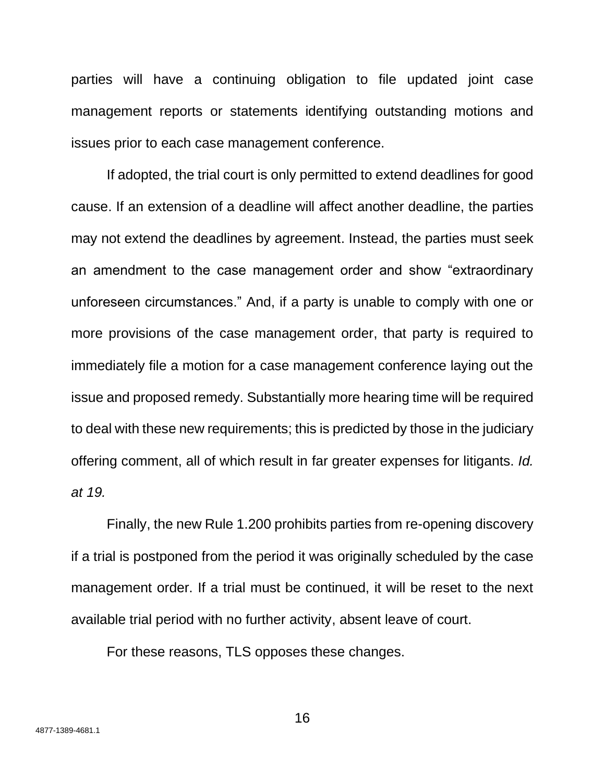parties will have a continuing obligation to file updated joint case management reports or statements identifying outstanding motions and issues prior to each case management conference.

If adopted, the trial court is only permitted to extend deadlines for good cause. If an extension of a deadline will affect another deadline, the parties may not extend the deadlines by agreement. Instead, the parties must seek an amendment to the case management order and show "extraordinary unforeseen circumstances." And, if a party is unable to comply with one or more provisions of the case management order, that party is required to immediately file a motion for a case management conference laying out the issue and proposed remedy. Substantially more hearing time will be required to deal with these new requirements; this is predicted by those in the judiciary offering comment, all of which result in far greater expenses for litigants. *Id. at 19.*

Finally, the new Rule 1.200 prohibits parties from re-opening discovery if a trial is postponed from the period it was originally scheduled by the case management order. If a trial must be continued, it will be reset to the next available trial period with no further activity, absent leave of court.

For these reasons, TLS opposes these changes.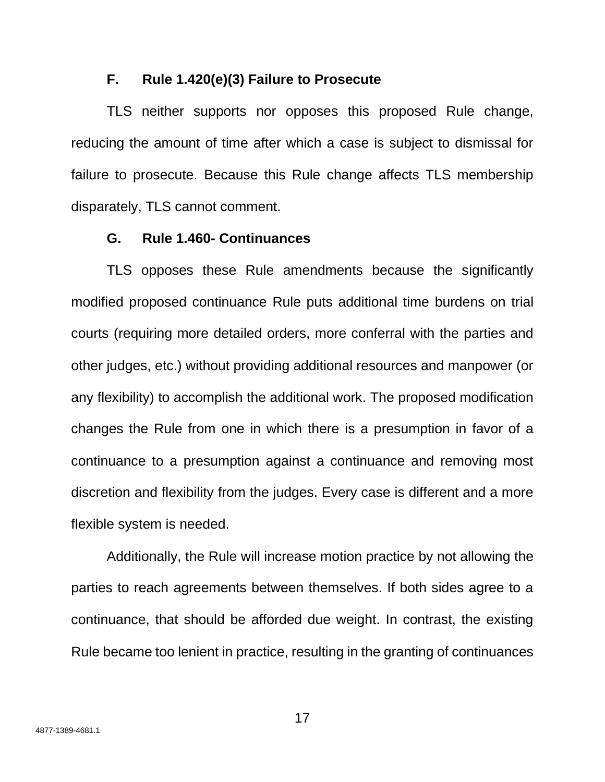## **F. Rule 1.420(e)(3) Failure to Prosecute**

TLS neither supports nor opposes this proposed Rule change, reducing the amount of time after which a case is subject to dismissal for failure to prosecute. Because this Rule change affects TLS membership disparately, TLS cannot comment.

## **G. Rule 1.460- Continuances**

TLS opposes these Rule amendments because the significantly modified proposed continuance Rule puts additional time burdens on trial courts (requiring more detailed orders, more conferral with the parties and other judges, etc.) without providing additional resources and manpower (or any flexibility) to accomplish the additional work. The proposed modification changes the Rule from one in which there is a presumption in favor of a continuance to a presumption against a continuance and removing most discretion and flexibility from the judges. Every case is different and a more flexible system is needed.

Additionally, the Rule will increase motion practice by not allowing the parties to reach agreements between themselves. If both sides agree to a continuance, that should be afforded due weight. In contrast, the existing Rule became too lenient in practice, resulting in the granting of continuances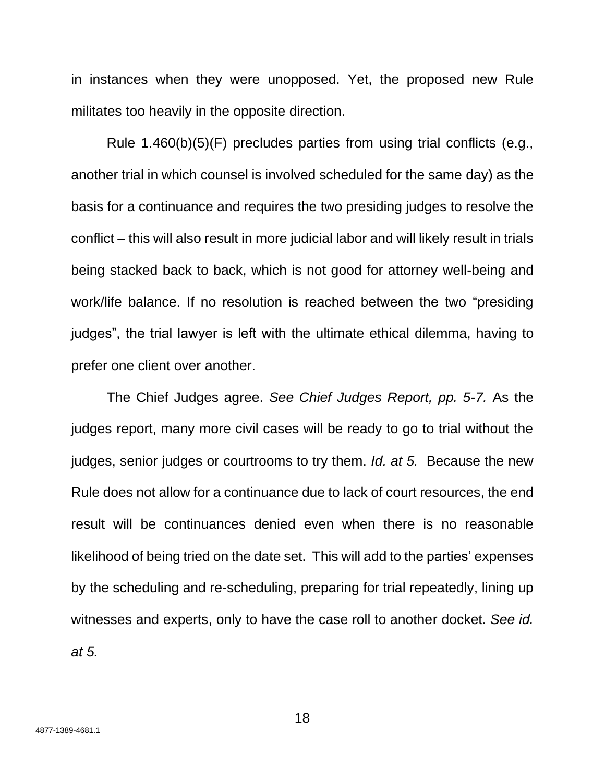in instances when they were unopposed. Yet, the proposed new Rule militates too heavily in the opposite direction.

Rule 1.460(b)(5)(F) precludes parties from using trial conflicts (e.g., another trial in which counsel is involved scheduled for the same day) as the basis for a continuance and requires the two presiding judges to resolve the conflict – this will also result in more judicial labor and will likely result in trials being stacked back to back, which is not good for attorney well-being and work/life balance. If no resolution is reached between the two "presiding judges", the trial lawyer is left with the ultimate ethical dilemma, having to prefer one client over another.

The Chief Judges agree. *See Chief Judges Report, pp. 5-7.* As the judges report, many more civil cases will be ready to go to trial without the judges, senior judges or courtrooms to try them. *Id. at 5.* Because the new Rule does not allow for a continuance due to lack of court resources, the end result will be continuances denied even when there is no reasonable likelihood of being tried on the date set. This will add to the parties' expenses by the scheduling and re-scheduling, preparing for trial repeatedly, lining up witnesses and experts, only to have the case roll to another docket. *See id. at 5.* 

18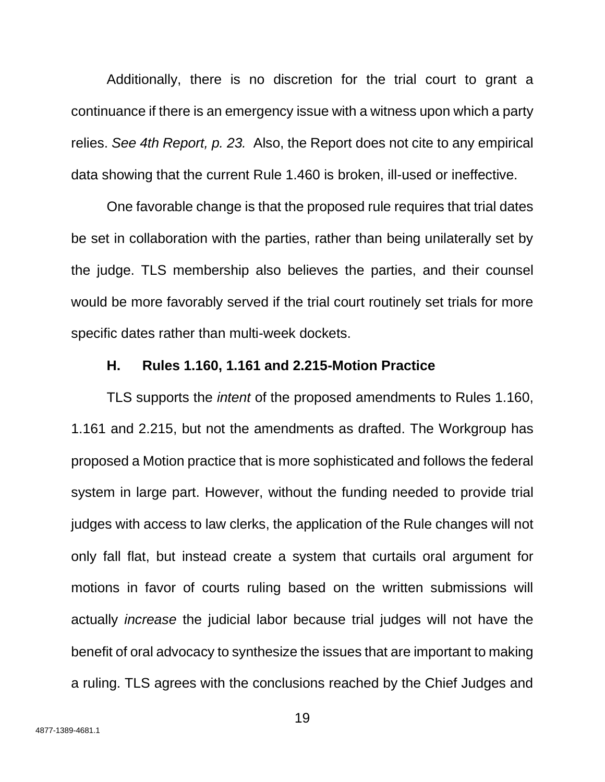Additionally, there is no discretion for the trial court to grant a continuance if there is an emergency issue with a witness upon which a party relies. *See 4th Report, p. 23.* Also, the Report does not cite to any empirical data showing that the current Rule 1.460 is broken, ill-used or ineffective.

One favorable change is that the proposed rule requires that trial dates be set in collaboration with the parties, rather than being unilaterally set by the judge. TLS membership also believes the parties, and their counsel would be more favorably served if the trial court routinely set trials for more specific dates rather than multi-week dockets.

## **H. Rules 1.160, 1.161 and 2.215-Motion Practice**

TLS supports the *intent* of the proposed amendments to Rules 1.160, 1.161 and 2.215, but not the amendments as drafted. The Workgroup has proposed a Motion practice that is more sophisticated and follows the federal system in large part. However, without the funding needed to provide trial judges with access to law clerks, the application of the Rule changes will not only fall flat, but instead create a system that curtails oral argument for motions in favor of courts ruling based on the written submissions will actually *increase* the judicial labor because trial judges will not have the benefit of oral advocacy to synthesize the issues that are important to making a ruling. TLS agrees with the conclusions reached by the Chief Judges and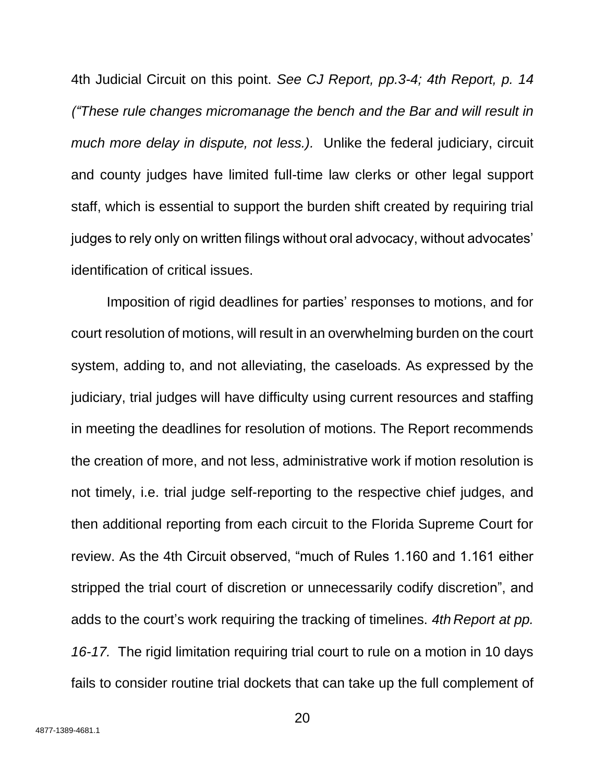4th Judicial Circuit on this point. *See CJ Report, pp.3-4; 4th Report, p. 14 ("These rule changes micromanage the bench and the Bar and will result in much more delay in dispute, not less.).* Unlike the federal judiciary, circuit and county judges have limited full-time law clerks or other legal support staff, which is essential to support the burden shift created by requiring trial judges to rely only on written filings without oral advocacy, without advocates' identification of critical issues.

Imposition of rigid deadlines for parties' responses to motions, and for court resolution of motions, will result in an overwhelming burden on the court system, adding to, and not alleviating, the caseloads. As expressed by the judiciary, trial judges will have difficulty using current resources and staffing in meeting the deadlines for resolution of motions. The Report recommends the creation of more, and not less, administrative work if motion resolution is not timely, i.e. trial judge self-reporting to the respective chief judges, and then additional reporting from each circuit to the Florida Supreme Court for review. As the 4th Circuit observed, "much of Rules 1.160 and 1.161 either stripped the trial court of discretion or unnecessarily codify discretion", and adds to the court's work requiring the tracking of timelines. *4th Report at pp. 16-17.* The rigid limitation requiring trial court to rule on a motion in 10 days fails to consider routine trial dockets that can take up the full complement of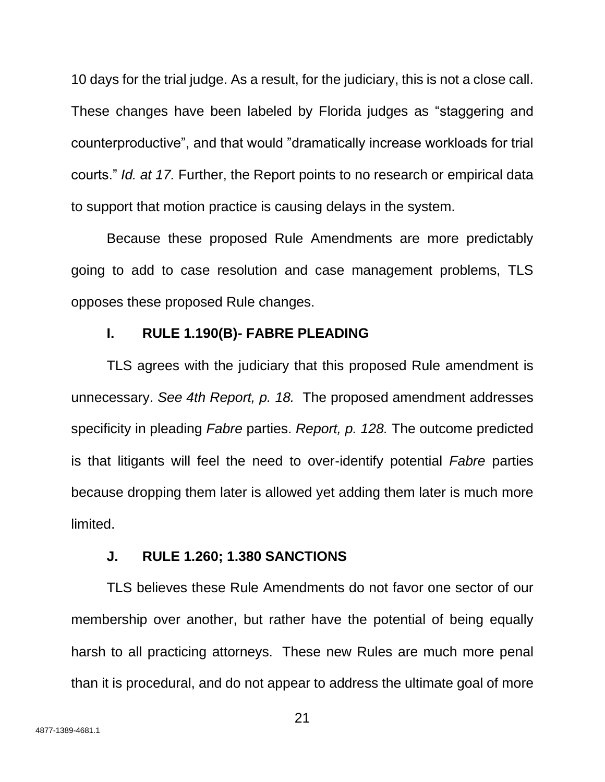10 days for the trial judge. As a result, for the judiciary, this is not a close call. These changes have been labeled by Florida judges as "staggering and counterproductive", and that would "dramatically increase workloads for trial courts." *Id. at 17.* Further, the Report points to no research or empirical data to support that motion practice is causing delays in the system.

Because these proposed Rule Amendments are more predictably going to add to case resolution and case management problems, TLS opposes these proposed Rule changes.

## **I. RULE 1.190(B)- FABRE PLEADING**

TLS agrees with the judiciary that this proposed Rule amendment is unnecessary. *See 4th Report, p. 18.* The proposed amendment addresses specificity in pleading *Fabre* parties. *Report, p. 128.* The outcome predicted is that litigants will feel the need to over-identify potential *Fabre* parties because dropping them later is allowed yet adding them later is much more limited.

## **J. RULE 1.260; 1.380 SANCTIONS**

TLS believes these Rule Amendments do not favor one sector of our membership over another, but rather have the potential of being equally harsh to all practicing attorneys. These new Rules are much more penal than it is procedural, and do not appear to address the ultimate goal of more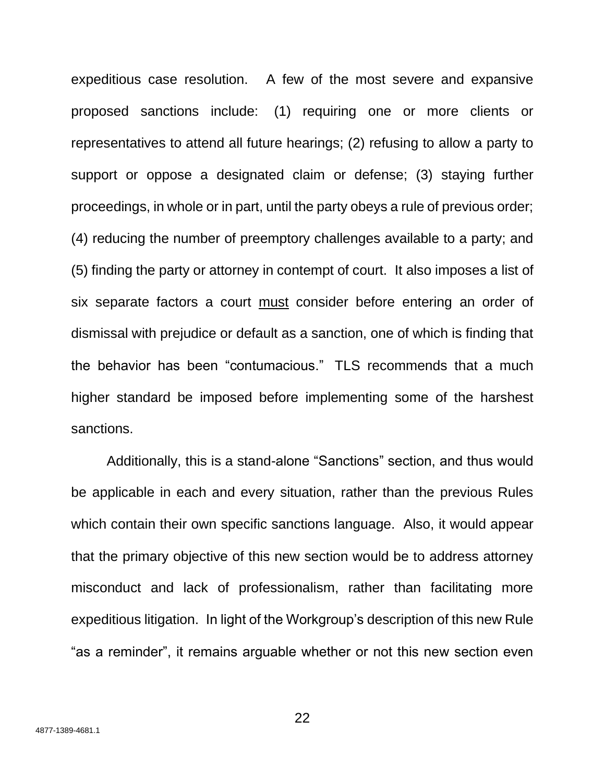expeditious case resolution. A few of the most severe and expansive proposed sanctions include: (1) requiring one or more clients or representatives to attend all future hearings; (2) refusing to allow a party to support or oppose a designated claim or defense; (3) staying further proceedings, in whole or in part, until the party obeys a rule of previous order; (4) reducing the number of preemptory challenges available to a party; and (5) finding the party or attorney in contempt of court. It also imposes a list of six separate factors a court must consider before entering an order of dismissal with prejudice or default as a sanction, one of which is finding that the behavior has been "contumacious." TLS recommends that a much higher standard be imposed before implementing some of the harshest sanctions.

Additionally, this is a stand-alone "Sanctions" section, and thus would be applicable in each and every situation, rather than the previous Rules which contain their own specific sanctions language. Also, it would appear that the primary objective of this new section would be to address attorney misconduct and lack of professionalism, rather than facilitating more expeditious litigation. In light of the Workgroup's description of this new Rule "as a reminder", it remains arguable whether or not this new section even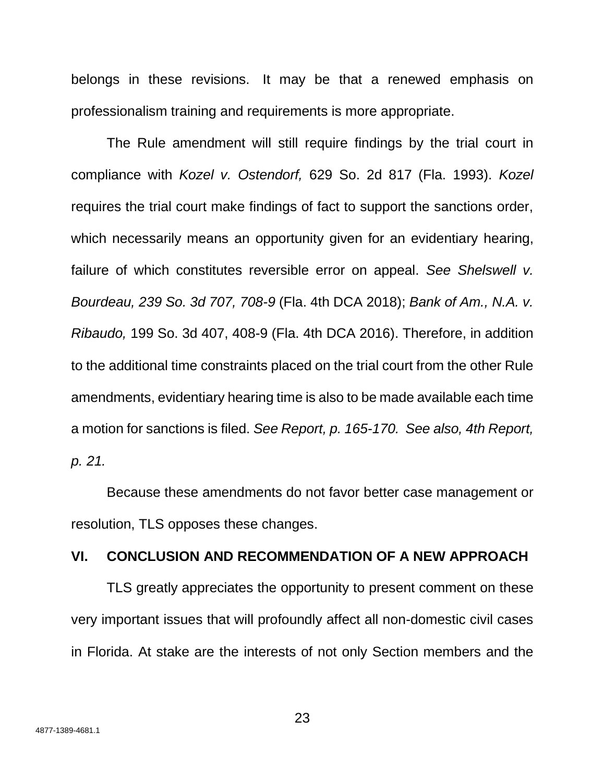belongs in these revisions. It may be that a renewed emphasis on professionalism training and requirements is more appropriate.

The Rule amendment will still require findings by the trial court in compliance with *Kozel v. Ostendorf,* 629 So. 2d 817 (Fla. 1993). *Kozel* requires the trial court make findings of fact to support the sanctions order, which necessarily means an opportunity given for an evidentiary hearing, failure of which constitutes reversible error on appeal. *See Shelswell v. Bourdeau, 239 So. 3d 707, 708-9* (Fla. 4th DCA 2018); *Bank of Am., N.A. v. Ribaudo,* 199 So. 3d 407, 408-9 (Fla. 4th DCA 2016). Therefore, in addition to the additional time constraints placed on the trial court from the other Rule amendments, evidentiary hearing time is also to be made available each time a motion for sanctions is filed. *See Report, p. 165-170. See also, 4th Report, p. 21.* 

Because these amendments do not favor better case management or resolution, TLS opposes these changes.

## **VI. CONCLUSION AND RECOMMENDATION OF A NEW APPROACH**

TLS greatly appreciates the opportunity to present comment on these very important issues that will profoundly affect all non-domestic civil cases in Florida. At stake are the interests of not only Section members and the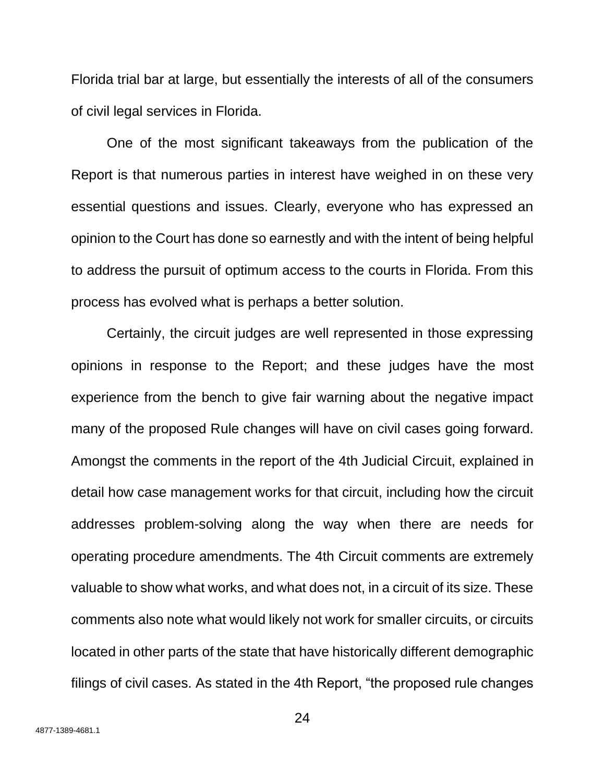Florida trial bar at large, but essentially the interests of all of the consumers of civil legal services in Florida.

One of the most significant takeaways from the publication of the Report is that numerous parties in interest have weighed in on these very essential questions and issues. Clearly, everyone who has expressed an opinion to the Court has done so earnestly and with the intent of being helpful to address the pursuit of optimum access to the courts in Florida. From this process has evolved what is perhaps a better solution.

Certainly, the circuit judges are well represented in those expressing opinions in response to the Report; and these judges have the most experience from the bench to give fair warning about the negative impact many of the proposed Rule changes will have on civil cases going forward. Amongst the comments in the report of the 4th Judicial Circuit, explained in detail how case management works for that circuit, including how the circuit addresses problem-solving along the way when there are needs for operating procedure amendments. The 4th Circuit comments are extremely valuable to show what works, and what does not, in a circuit of its size. These comments also note what would likely not work for smaller circuits, or circuits located in other parts of the state that have historically different demographic filings of civil cases. As stated in the 4th Report, "the proposed rule changes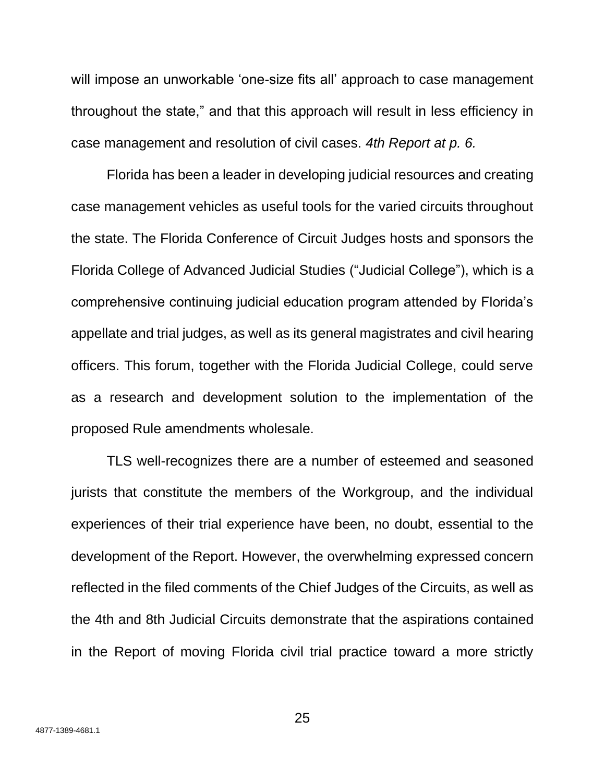will impose an unworkable 'one-size fits all' approach to case management throughout the state," and that this approach will result in less efficiency in case management and resolution of civil cases. *4th Report at p. 6.*

Florida has been a leader in developing judicial resources and creating case management vehicles as useful tools for the varied circuits throughout the state. The Florida Conference of Circuit Judges hosts and sponsors the Florida College of Advanced Judicial Studies ("Judicial College"), which is a comprehensive continuing judicial education program attended by Florida's appellate and trial judges, as well as its general magistrates and civil hearing officers. This forum, together with the Florida Judicial College, could serve as a research and development solution to the implementation of the proposed Rule amendments wholesale.

TLS well-recognizes there are a number of esteemed and seasoned jurists that constitute the members of the Workgroup, and the individual experiences of their trial experience have been, no doubt, essential to the development of the Report. However, the overwhelming expressed concern reflected in the filed comments of the Chief Judges of the Circuits, as well as the 4th and 8th Judicial Circuits demonstrate that the aspirations contained in the Report of moving Florida civil trial practice toward a more strictly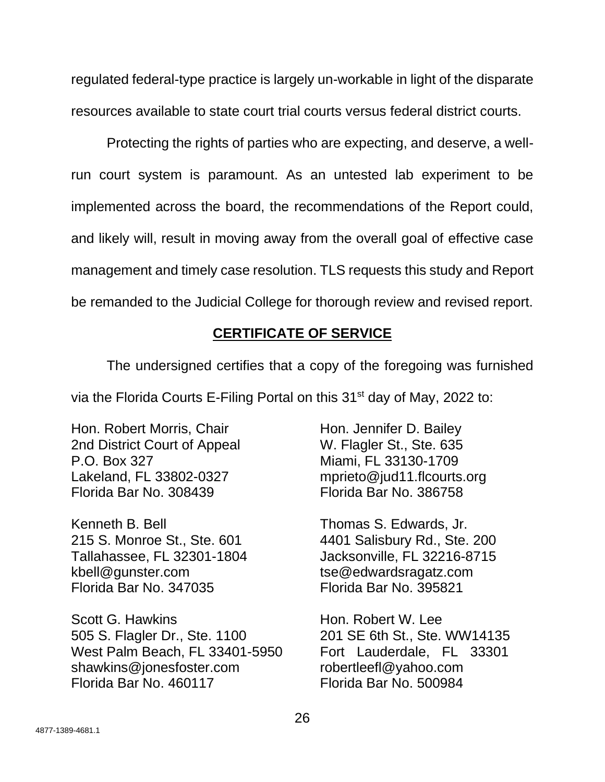regulated federal-type practice is largely un-workable in light of the disparate resources available to state court trial courts versus federal district courts.

Protecting the rights of parties who are expecting, and deserve, a wellrun court system is paramount. As an untested lab experiment to be implemented across the board, the recommendations of the Report could, and likely will, result in moving away from the overall goal of effective case management and timely case resolution. TLS requests this study and Report be remanded to the Judicial College for thorough review and revised report.

# **CERTIFICATE OF SERVICE**

The undersigned certifies that a copy of the foregoing was furnished

via the Florida Courts E-Filing Portal on this 31<sup>st</sup> day of May, 2022 to:

Hon. Robert Morris, Chair **Hon. Jennifer D. Bailey** 2nd District Court of Appeal W. Flagler St., Ste. 635 P.O. Box 327 Miami, FL 33130-1709 Lakeland, FL 33802-0327 [mprieto@jud11.flcourts.org](mailto:mprieto@jud11.flcourts.org) Florida Bar No. 308439 Florida Bar No. 386758

Kenneth B. Bell **Thomas S. Edwards, Jr.** 215 S. Monroe St., Ste. 601 4401 Salisbury Rd., Ste. 200 Tallahassee, FL 32301-1804 Jacksonville, FL 32216-8715 kbell@gunster.com tse@edwardsragatz.com Florida Bar No. 347035 Florida Bar No. 395821

Scott G. Hawkins **Hon. Robert W. Lee** 505 S. Flagler Dr., Ste. 1100 201 SE 6th St., Ste. WW14135 West Palm Beach, FL 3340[1](mailto:shawkins@jonesfoster.com)-5950 Fort Lauderdale, FL 33301 [shawkins@jonesfoster.com](mailto:shawkins@jonesfoster.com) [robertleefl@yahoo.com](mailto:robertleefl@yahoo.ca) [Florida Bar No. 460117 Florida Bar](mailto:robertleefl@yahoo.ca) No. 500984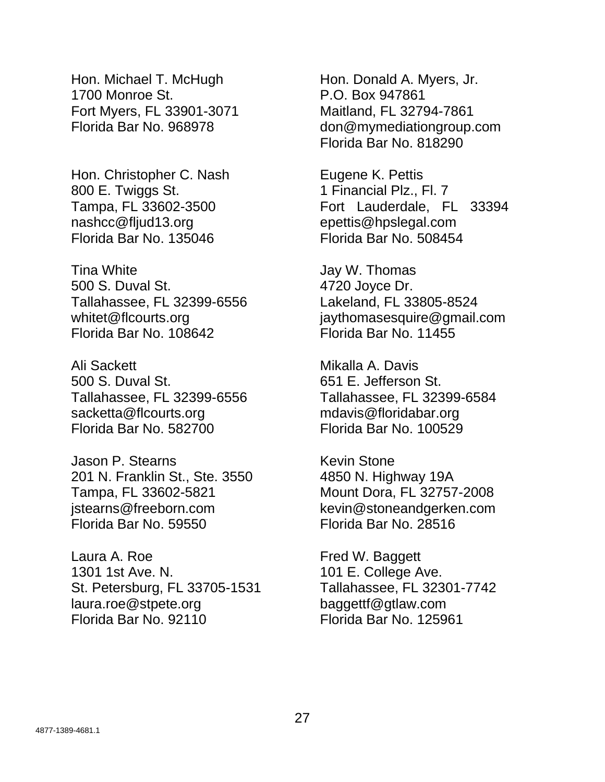Hon. Michael T. McHugh Hon. Donald A. Myers, Jr. 1700 Monroe St. 2008 2010 P.O. Box 947861 Fort Myers, FL 33901-3071 Maitland, FL 32794-7861

Hon. Christopher C. Nash Eugene K. Pettis 800 E. Twiggs St. 1 Financial Plz., Fl. 7 [nashcc@fljud13.org](mailto:nashcc@fljud13.org) epettis@hpslegal.com Florida Bar No. 135046 Florida Bar No. 508454

Tina White **Tina White** Jay W. Thomas 500 S. Duval St. 4720 Joyce Dr. Tallahassee, FL 32399-6556 Lakeland, FL 33805-8524 Florida Bar No. 108642 Florida Bar No. 11455

Ali Sackett **Mikalla A. Davis** 500 S. Duval St. 651 E. Jefferson St. Tallahassee, FL 32399-6556 Tallahassee, FL 32399-6584 sacketta@flcourts.org mdavis@floridabar.org Florida Bar No. 582700 Florida Bar No. 100529

Jason P. Stearns Kevin Stone 201 N. Franklin St., Ste. 3550 4850 N. Highway 19A Tampa, FL 33602-5821 Mount Dora, FL 32757-2008 jstearns@freeborn.com kevin@stoneandgerken.com Florida Bar No. 59550 Florida Bar No. 28516

Laura A. Roe **Fred W. Baggett** 1301 1st Ave. N. 101 E. College Ave. St. Petersburg, FL 33705-1531 Tallahassee, FL 32301-7742 laura.roe@stpete.org baggettf@gtlaw.com Florida Bar No. 92110 Florida Bar No. 125961

Florida Bar No. 968978 [don@mymediationgroup.com](mailto:don@mymediationgroup.com) Florida Bar No. 818290

Tampa, FL 33602-3500 **Fort Lauderdale, FL 3339[4](mailto:nashcc@fljud13.org)** 

whitet@flcourts.org iaythomasesquire@gmail.com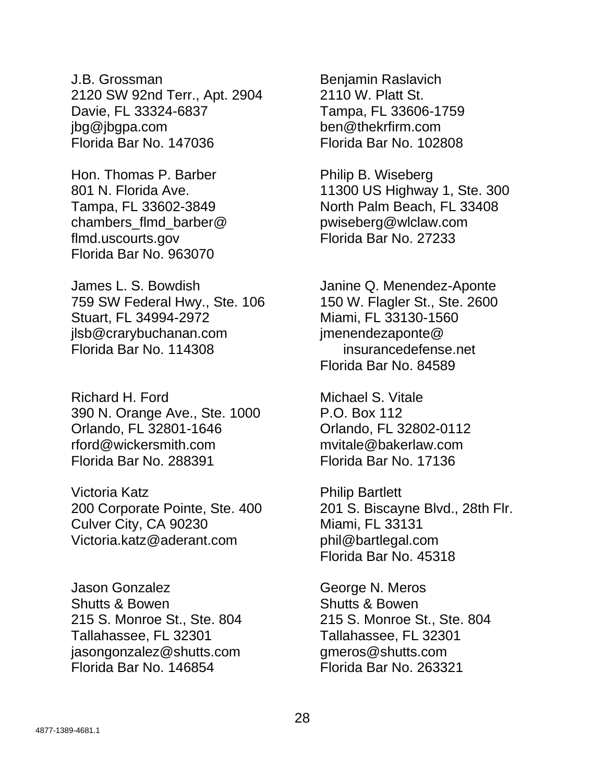J.B. Grossman Benjamin Raslavich 2120 SW 92nd Terr., Apt. 2904 2110 W. Platt St. Davie, FL 33324-6837 Tampa, FL 33606-1759 jbg@jbgpa.com ben@thekrfirm.com Florida Bar No. 147036 Florida Bar No. 102808

Hon. Thomas P. Barber Philip B. Wiseberg chambers\_flmd\_barber@ pwiseberg@wlclaw.com flmd.uscourts.gov Florida Bar No. 27233 Florida Bar No. 963070

James L. S. Bowdish Janine Q. Menendez-Aponte 759 SW Federal Hwy., Ste. 106 150 W. Flagler St., Ste. 2600 Stuart, FL 34994-2972 Miami, FL 33130-1560 jlsb@crarybuchanan.com jmenendezaponte@ Florida Bar No. 114308 insurancedefense.net

Richard H. Ford Michael S. Vitale 390 N. Orange Ave., Ste. 1000 P.O. Box 112 Orlando, FL 32801-1646 Orlando, FL 32802-0112 rford@wickersmith.com mvitale@bakerlaw.com Florida Bar No. 288391 Florida Bar No. 17136

Victoria Katz **Philip Bartlett** Culver City, CA 90230 Miami, FL 33131 Victoria.katz@aderant.com phil@bartlegal.com

Jason Gonzalez George N. Meros Shutts & Bowen Shutts & Bowen Tallahassee, FL 32301 Tallahassee, FL 32301 jasongonzalez@shutts.com gmeros@shutts.com Florida Bar No. 146854 Florida Bar No. 263321

801 N. Florida Ave. 11300 US Highway 1, Ste. 300 Tampa, FL 33602-3849 North Palm Beach, FL 33408

Florida Bar No. 84589

200 Corporate Pointe, Ste. 400 201 S. Biscayne Blvd., 28th Flr. Florida Bar No. 45318

215 S. Monroe St., Ste. 804 215 S. Monroe St., Ste. 804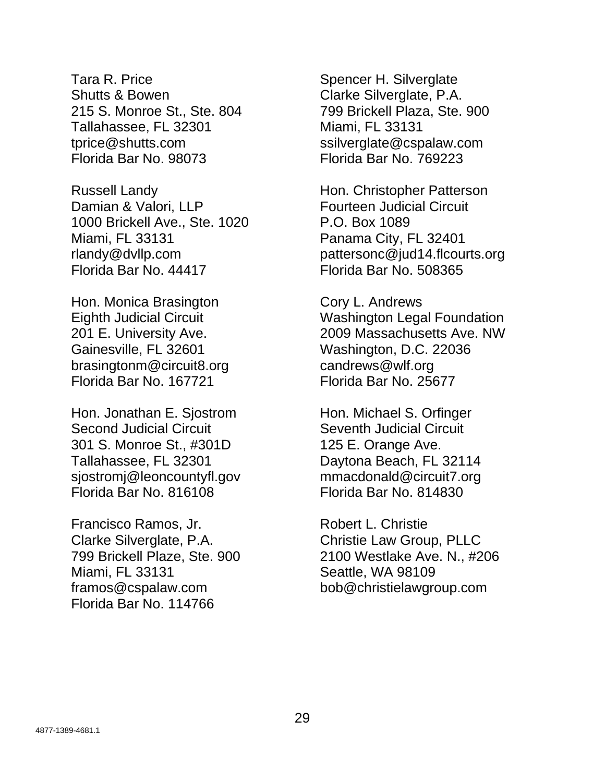Tara R. Price Spencer H. Silverglate Shutts & Bowen Clarke Silverglate, P.A. 215 S. Monroe St., Ste. 804 799 Brickell Plaza, Ste. 900 Tallahassee, FL 32301 Miami, FL 33131 tprice@shutts.com ssilverglate@cspalaw.com Florida Bar No. 98073 Florida Bar No. 769223

Damian & Valori, LLP Fourteen Judicial Circuit 1000 Brickell Ave., Ste. 1020 P.O. Box 1089 Miami, FL 33131 Panama City, FL 32401 Florida Bar No. 44417 Florida Bar No. 508365

Hon. Monica Brasington Cory L. Andrews Gainesville, FL 32601 Washington, D.C. 22036 brasingtonm@circuit8.org candrews@wlf.org Florida Bar No. 167721 Florida Bar No. 25677

Hon. Jonathan E. Sjostrom Hon. Michael S. Orfinger Second Judicial Circuit Seventh Judicial Circuit 301 S. Monroe St., #301D 125 E. Orange Ave. Tallahassee, FL 32301 Daytona Beach, FL 32114 sjostromj@leoncountyfl.gov mmacdonald@circuit7.org Florida Bar No. 816108 Florida Bar No. 814830

Francisco Ramos, Jr. Robert L. Christie Clarke Silverglate, P.A. Christie Law Group, PLLC Miami, FL 33131 Seattle, WA 98109 framos@cspalaw.com bob@christielawgroup.com Florida Bar No. 114766

Russell Landy **Hon.** Christopher Patterson rlandy@dvllp.com pattersonc@jud14.flcourts.org

Eighth Judicial Circuit Washington Legal Foundation 201 E. University Ave. 2009 Massachusetts Ave. NW

799 Brickell Plaze, Ste. 900 2100 Westlake Ave. N., #206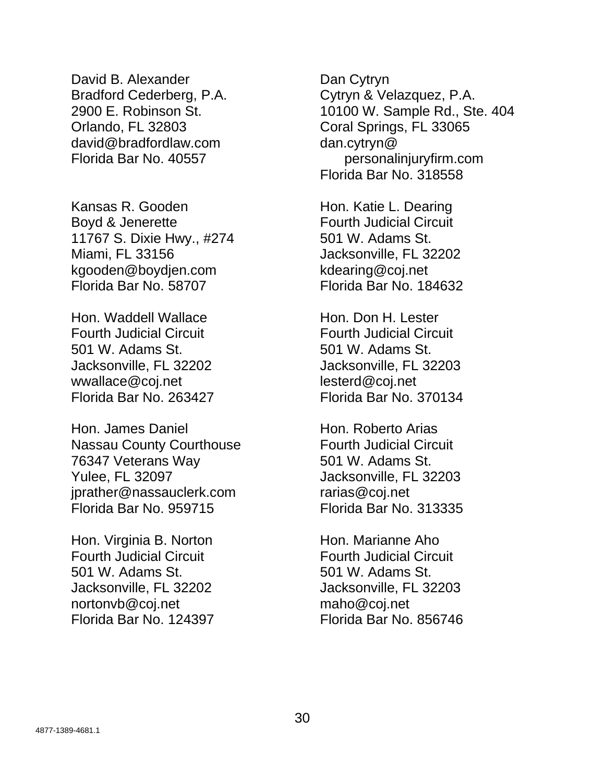David B. Alexander **Dan Cytryn** Bradford Cederberg, P.A. Cytryn & Velazquez, P.A. Orlando, FL 32803 Coral Springs, FL 33065 david@bradfordlaw.com dan.cytryn@

Kansas R. Gooden Hon. Katie L. Dearing Boyd & Jenerette **Fourth Judicial Circuit** 11767 S. Dixie Hwy., #274 501 W. Adams St. Miami, FL 33156 Jacksonville, FL 32202 kgooden@boydjen.com kdearing@coj.net Florida Bar No. 58707 Florida Bar No. 184632

Hon. Waddell Wallace **Hon. Don H. Lester** Fourth Judicial Circuit Fourth Judicial Circuit 501 W. Adams St. 501 W. Adams St. Jacksonville, FL 32202 Jacksonville, FL 32203 wwallace@coj.net lesterd@coj.net Florida Bar No. 263427 Florida Bar No. 370134

Hon. James Daniel **Hon. Roberto Arias** Nassau County Courthouse **Fourth Judicial Circuit** 76347 Veterans Way 501 W. Adams St. Yulee, FL 32097 Jacksonville, FL 32203 jprather@nassauclerk.com rarias@coj.net Florida Bar No. 959715 Florida Bar No. 313335

Hon. Virginia B. Norton Hon. Marianne Aho Fourth Judicial Circuit Fourth Judicial Circuit 501 W. Adams St. 501 W. Adams St. Jacksonville, FL 32202 Jacksonville, FL 32203 nortonvb@coj.net maho@coj.net Florida Bar No. 124397 Florida Bar No. 856746

2900 E. Robinson St. 10100 W. Sample Rd., Ste. 404 Florida Bar No. 40557 personalinjuryfirm.com Florida Bar No. 318558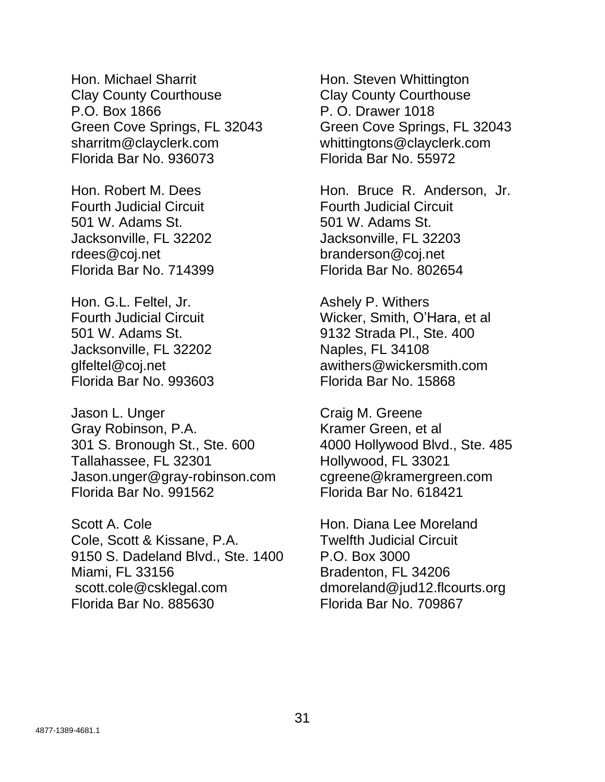Hon. Michael Sharrit Hon. Steven Whittington Clay County Courthouse Clay County Courthouse P.O. Box 1866 P. O. Drawer 1018 Green Cove Springs, FL 32043 Green Cove Springs, FL 32043 sharritm@clayclerk.com whittingtons@clayclerk.com Florida Bar No. 936073 Florida Bar No. 55972

Fourth Judicial Circuit Fourth Judicial Circuit 501 W. Adams St. 501 W. Adams St. Jacksonville, FL 32202 Jacksonville, FL 32203 rdees@coj.net branderson@coj.net Florida Bar No. 714399 Florida Bar No. 802654

Hon. G.L. Feltel, Jr. **Ashely P. Withers** Jacksonville, FL 32202 Naples, FL 34108 Florida Bar No. 993603 Florida Bar No. 15868

Jason L. Unger Craig M. Greene Gray Robinson, P.A. Kramer Green, et al 301 S. Bronough St., Ste. 600 4000 Hollywood Blvd., Ste. 485 Tallahassee, FL 32301 Hollywood, FL 33021 Jason.unger@gray-robinson.com cgreene@kramergreen.com Florida Bar No. 991562 Florida Bar No. 618421

Scott A. Cole **Hon.** Diana Lee Moreland Cole, Scott & Kissane, P.A. Twelfth Judicial Circuit 9150 S. Dadeland Blvd., Ste. 1400 P.O. Box 3000 Miami, FL 33156 **Bradenton**, FL 34206 scott.cole@csklegal.com dmoreland@jud12.flcourts.org Florida Bar No. 885630 Florida Bar No. 709867

Hon. Robert M. Dees Hon. Bruce R. Anderson, Jr.

Fourth Judicial Circuit Wicker, Smith, O'Hara, et al 501 W. Adams St. 9132 Strada Pl., Ste. 400 glfeltel@coj.net awithers@wickersmith.com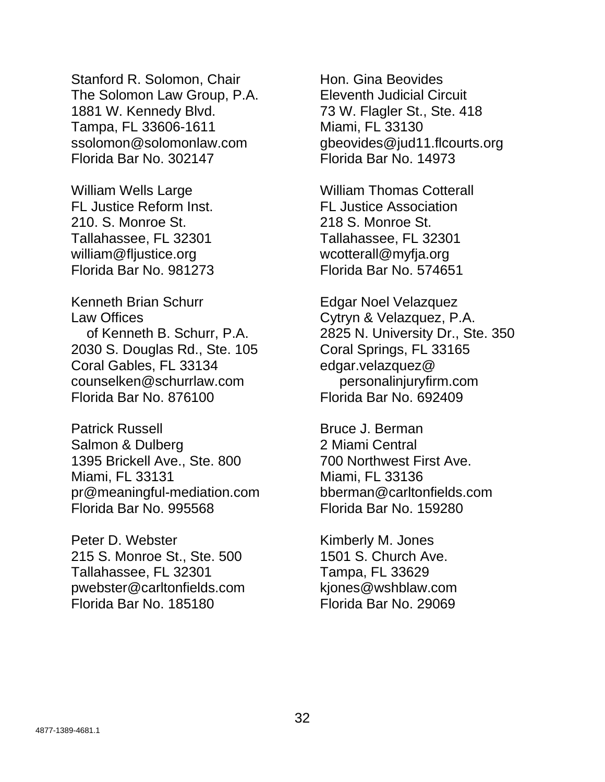Stanford R. Solomon, Chair **Hon.** Gina Beovides The Solomon Law Group, P.A. Eleventh Judicial Circuit 1881 W. Kennedy Blvd. 73 W. Flagler St., Ste. 418 Tampa, FL 33606-1611 Miami, FL 33130 ssolomon@solomonlaw.com dbeovides@jud11.flcourts.org Florida Bar No. 302147 Florida Bar No. 14973

FL Justice Reform Inst. FL Justice Association 210. S. Monroe St. 218 S. Monroe St. Tallahassee, FL 32301 Tallahassee, FL 32301 william@fljustice.org wcotterall@myfja.org Florida Bar No. 981273 Florida Bar No. 574651

Kenneth Brian Schurr **Edgar Noel Velazquez** Law Offices **Cytryn & Velazquez, P.A.** 2030 S. Douglas Rd., Ste. 105 Coral Springs, FL 33165 Coral Gables, FL 33134 edgar.velazquez@ counselken@schurrlaw.com personalinjuryfirm.com Florida Bar No. 876100 Florida Bar No. 692409

Patrick Russell Bruce J. Berman Salmon & Dulberg 2 Miami Central 1395 Brickell Ave., Ste. 800 700 Northwest First Ave. Miami, FL 33131 Miami, FL 33136 pr@meaningful-mediation.com bberman@carltonfields.com Florida Bar No. 995568 Florida Bar No. 159280

Peter D. Webster **Kimberly M. Jones** 215 S. Monroe St., Ste. 500 1501 S. Church Ave. Tallahassee, FL 32301 Tampa, FL 33629 pwebster@carltonfields.com kjones@wshblaw.com Florida Bar No. 185180 Florida Bar No. 29069

William Wells Large William Thomas Cotterall

of Kenneth B. Schurr, P.A. 2825 N. University Dr., Ste. 350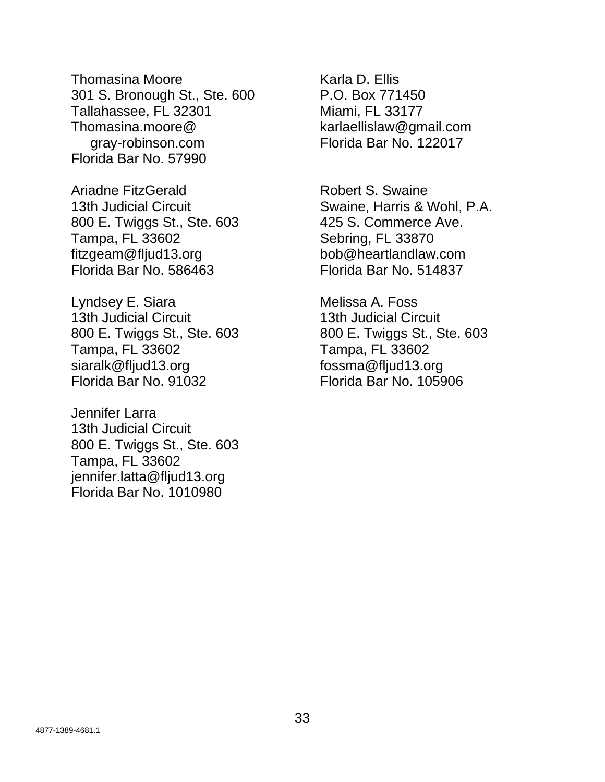Thomasina Moore **Karla D. Ellis** 301 S. Bronough St., Ste. 600 P.O. Box 771450 Tallahassee, FL 32301 Miami, FL 33177 Thomasina.moore@ karlaellislaw@gmail.com gray-robinson.com Florida Bar No. 122017 Florida Bar No. 57990

Ariadne FitzGerald **Robert S. Swaine** 800 E. Twiggs St., Ste. 603 425 S. Commerce Ave. Tampa, FL 33602 Sebring, FL 33870 fitzgeam@fljud13.org bob@heartlandlaw.com Florida Bar No. 586463 Florida Bar No. 514837

Lyndsey E. Siara Melissa A. Foss 13th Judicial Circuit 13th Judicial Circuit 800 E. Twiggs St., Ste. 603 800 E. Twiggs St., Ste. 603 Tampa, FL 33602 Tampa, FL 33602 siaralk@fljud13.org fossma@fljud13.org Florida Bar No. 91032 Florida Bar No. 105906

Jennifer Larra 13th Judicial Circuit 800 E. Twiggs St., Ste. 603 Tampa, FL 33602 jennifer.latta@fljud13.org Florida Bar No. 1010980

13th Judicial Circuit **Swaine, Harris & Wohl, P.A.**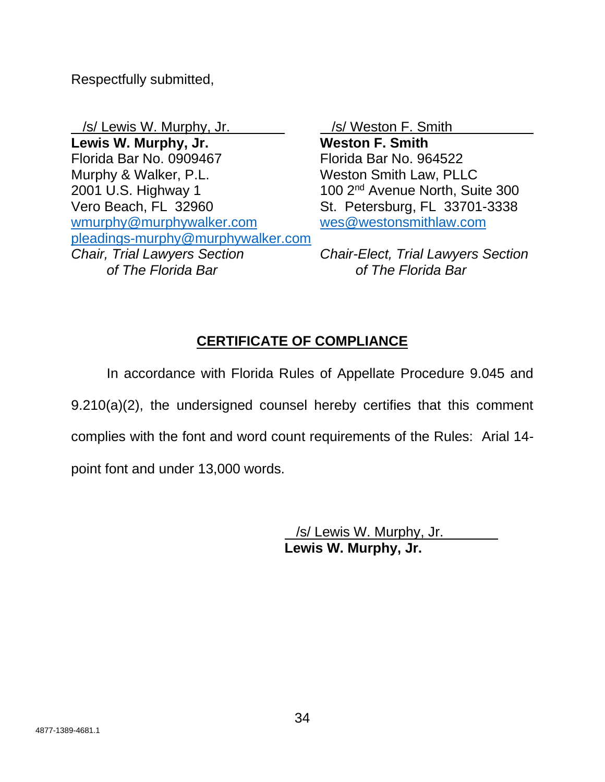Respectfully submitted,

/s/ Lewis W. Murphy, Jr. /s/ Weston F. Smith **Lewis W. Murphy, Jr. Weston F. Smith** Florida Bar No. 0909467 Florida Bar No. 964522 Murphy & Walker, P.L. Weston Smith Law, PLLC  $2001$  U.S. Highway 1 100  $2<sup>nd</sup>$  Avenue North, Suite 300 Vero Beach, FL 32960 St. Petersburg, FL 33701-3338 [wmurphy@murphywalker.com](mailto:wmurphy@murphywalker.com) [wes@westonsmithlaw.com](mailto:wes@westonsmithlaw.com) [pleadings-murphy@murphywalker.com](mailto:pleadings-murphy@murphywalker.com) *Chair, Trial Lawyers Section Chair-Elect, Trial Lawyers Section of The Florida Bar of The Florida Bar*

# **CERTIFICATE OF COMPLIANCE**

In accordance with Florida Rules of Appellate Procedure 9.045 and 9.210(a)(2), the undersigned counsel hereby certifies that this comment complies with the font and word count requirements of the Rules: Arial 14 point font and under 13,000 words.

> /s/ Lewis W. Murphy, Jr. **Lewis W. Murphy, Jr.**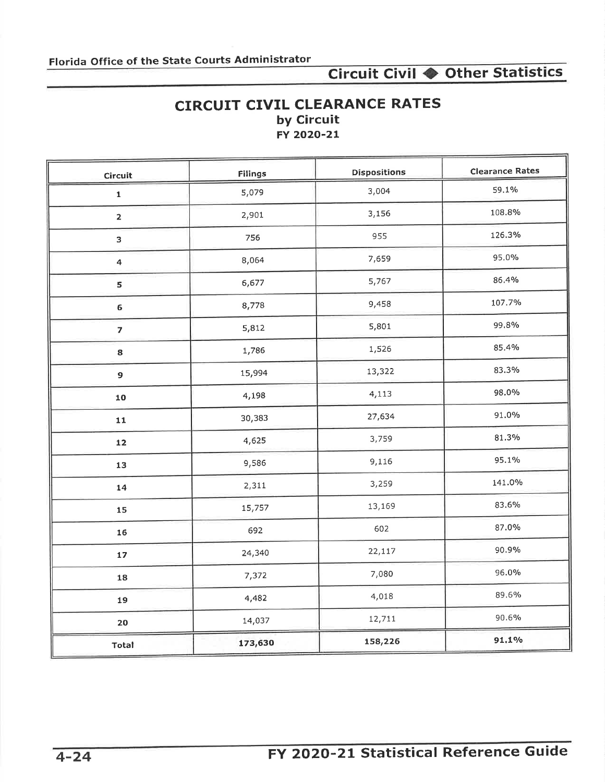## **CIRCUIT CIVIL CLEARANCE RATES** by Circuit FY 2020-21

| Circuit                 | Filings | <b>Dispositions</b> | <b>Clearance Rates</b> |
|-------------------------|---------|---------------------|------------------------|
| $\mathbf 1$             | 5,079   | 3,004               | 59.1%                  |
| $\overline{\mathbf{2}}$ | 2,901   | 3,156               | 108.8%                 |
| 3                       | 756     | 955                 | 126.3%                 |
| $\overline{\mathbf{a}}$ | 8,064   | 7,659               | 95.0%                  |
| 5                       | 6,677   | 5,767               | 86.4%                  |
| 6                       | 8,778   | 9,458               | 107.7%                 |
| $\overline{\mathbf{z}}$ | 5,812   | 5,801               | 99,8%                  |
| 8                       | 1,786   | 1,526               | 85,4%                  |
| $\overline{9}$          | 15,994  | 13,322              | 83.3%                  |
| 10                      | 4,198   | 4,113               | 98.0%                  |
| 11                      | 30,383  | 27,634              | 91.0%                  |
| $12$                    | 4,625   | 3,759               | 81.3%                  |
| 13                      | 9,586   | 9,116               | 95.1%                  |
| 14                      | 2,311   | 3,259               | 141.0%                 |
| 15                      | 15,757  | 13,169              | 83.6%                  |
| 16                      | 692     | 602                 | 87.0%                  |
| 17                      | 24,340  | 22,117              | 90.9%                  |
| 18                      | 7,372   | 7,080               | 96.0%                  |
| 19                      | 4,482   | 4,018               | 89.6%                  |
| 20                      | 14,037  | 12,711              | 90.6%                  |
| Total                   | 173,630 | 158,226             | 91.1%                  |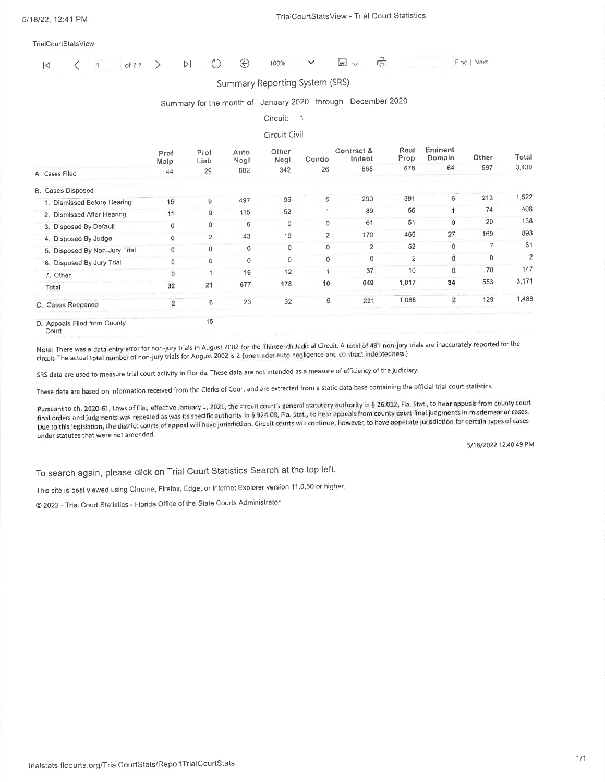|  |  |  |  |  |  |  |  | 100% | $\sim$ $\sim$ | $\Box$ |  | Find   Next |
|--|--|--|--|--|--|--|--|------|---------------|--------|--|-------------|
|--|--|--|--|--|--|--|--|------|---------------|--------|--|-------------|

### Summary Reporting System (SRS)

### Summary for the month of January 2020 through December 2020

| Circuit: |  |
|----------|--|
|          |  |

### Circuit Civil

|                               | Prof<br>Malp | Prof<br>Liab   | Auto<br>Negl | Other<br>Negl | Condo          | Contract &<br>Indebt | Real<br>Prop   | Eminent<br>Domain | Other | Total          |
|-------------------------------|--------------|----------------|--------------|---------------|----------------|----------------------|----------------|-------------------|-------|----------------|
| A. Cases Filed                | 44           | 29             | 882          | 342           | 26             | 668                  | 678            | 64                | 697   | 3,430          |
| <b>B. Cases Disposed</b>      |              |                |              |               |                |                      |                |                   |       |                |
| 1. Dismissed Before Hearing   | 15           | 9              | 497          | 95            | 6              | 290                  | 391            | 6                 | 213   | 1,522          |
| 2. Dismissed After Hearing    | 11           | 9              | 115          | 52            |                | 89                   | 56             |                   | 74    | 408            |
| 3. Disposed By Default        | O            | $\mathbf 0$    | 6            | 0             | $\Omega$       | 61                   | 51             | 0                 | 20    | 138            |
| 4. Disposed By Judge          | 6            | $\overline{2}$ | 43           | 19            | $\overline{2}$ | 170                  | 455            | 27                | 169   | 893            |
| 5. Disposed By Non-Jury Trial | $\Omega$     | $\Omega$       | $\Omega$     | 0             | $\Omega$       | $\overline{2}$       | 52             | 0                 |       | 61             |
| 6. Disposed By Jury Trial     | O            | 0              |              | 0             | $\Omega$       | 0                    | $\overline{2}$ | 0                 | 0     | $\overline{2}$ |
| 7. Other                      | $\Omega$     |                | 16           | 12            |                | 37                   | 10             | $\Omega$          | 70    | 147            |
| Total                         | 32           | 21             | 677          | 178           | 10             | 649                  | 1,017          | 34                | 553   | 3,171          |
| C. Cases Reopened             | 2            | 6              | 23           | 32            | 5              | 221                  | 1,068          | 2                 | 129   | 1,488          |
| D. Appeals Filed from County  |              | 15             |              |               |                |                      |                |                   |       |                |

Court

Note: There was a data entry error for non-jury trials in August 2002 for the Thirteenth Judicial Circuit. A total of 481 non-jury trials are inaccurately reported for the circuit. The actual total number of non-jury trials for August 2002 is 2 (one under auto negligence and contract indebtedness.)

SRS data are used to measure trial court activity in Florida. These data are not intended as a measure of efficiency of the judiciary.

These data are based on information received from the Clerks of Court and are extracted from a static data base containing the official trial court statistics.

Pursuant to ch. 2020-61, Laws of Fla., effective January 1, 2021, the circuit court's general statutory authority in § 26.012, Fla. Stat., to hear appeals from county court final orders and judgments was repealed as was its specific authority in § 924.08, Fla. Stat., to hear appeals from county court final judgments in misdemeanor cases. Due to this legislation, the district courts of appeal will have jurisdiction. Circuit courts will continue, however, to have appellate jurisdiction for certain types of cases under statutes that were not amended.

5/18/2022 12:40:49 PM

To search again, please click on Trial Court Statistics Search at the top left.

This site is best viewed using Chrome, Firefox, Edge, or Internet Explorer version 11.0.50 or higher.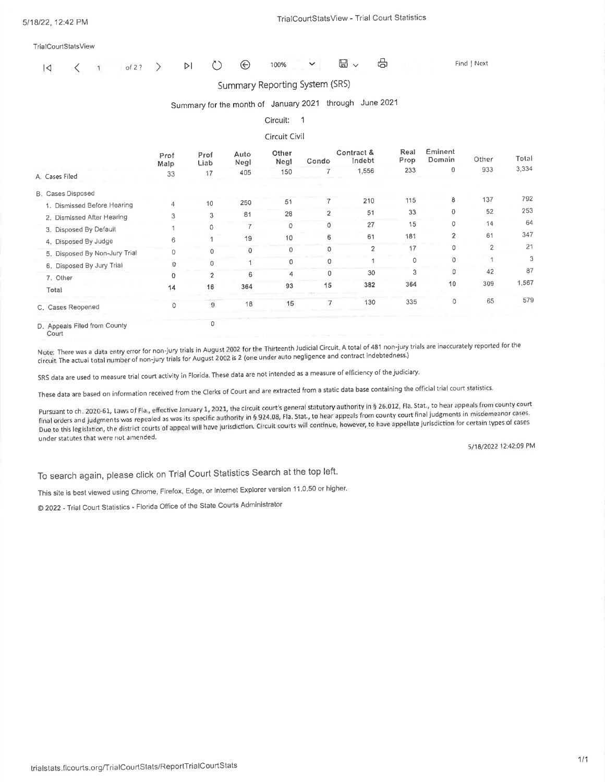|  |  |  |  |  |  |  |  |  |  | 1<1 < 1   of2? > DI <> 0 + 0 0 mo% < 日 > + 日 |  | <b>Find   Next</b> |
|--|--|--|--|--|--|--|--|--|--|----------------------------------------------|--|--------------------|
|--|--|--|--|--|--|--|--|--|--|----------------------------------------------|--|--------------------|

#### Summary Reporting System (SRS)

### Summary for the month of January 2021 through June 2021

#### Circuit: 1

#### Circuit Civil

|                               | Prof<br>Malp | Prof<br>Liab   | Auto<br>Negl | Other<br>Negl | Condo          | Contract &<br>Indebt | Real<br>Prop | Eminent<br>Domain | Other          | Total |
|-------------------------------|--------------|----------------|--------------|---------------|----------------|----------------------|--------------|-------------------|----------------|-------|
| A. Cases Filed                | 33           | 17             | 405          | 150           |                | 1,556                | 233          | $\Omega$          | 933            | 3,334 |
| B. Cases Disposed             |              |                |              |               |                |                      |              |                   |                |       |
| 1. Dismissed Before Hearing   | 4            | 10             | 250          | 51            |                | 210                  | 115          | 8                 | 137            | 792   |
| 2. Dismissed After Hearing    | 3            | 3              | 81           | 28            | $\overline{2}$ | 51                   | 33           | 0                 | 52             | 253   |
| 3. Disposed By Default        |              | 0              |              | 0             | 0              | 27                   | 15           | 0                 | 14             | 64    |
| 4. Disposed By Judge          | 6            |                | 19           | 10            | 6              | 61                   | 181          | $\overline{2}$    | 61             | 347   |
| 5. Disposed By Non-Jury Trial | $\mathbf{0}$ |                | 0            | $\Omega$      | n              | $\overline{2}$       | 17           | 0                 | $\overline{2}$ | 21    |
| 6. Disposed By Jury Trial     | $\Omega$     |                |              | 0             | 0              |                      | Ω            | $\mathbf 0$       |                | 3     |
| 7. Other                      | $\Omega$     | $\mathfrak{p}$ | 6            | 4             | $\mathbf{0}$   | 30                   | 3            | 0                 | 42             | 87    |
| Total                         | 14           | 16             | 364          | 93            | 15             | 382                  | 364          | 10                | 309            | 1,567 |
| C. Cases Reopened             | 0            | 9              | 18           | 15            | 7.             | 130                  | 335          | $\Omega$          | 65             | 579   |
| D. Anneals Filed from County  |              | 0              |              |               |                |                      |              |                   |                |       |

D. Appeals Filed from County

Court

Note: There was a data entry error for non-jury trials in August 2002 for the Thirteenth Judicial Circuit. A total of 481 non-jury trials are inaccurately reported for the circuit. The actual total number of non-jury trials for August 2002 is 2 (one under auto negligence and contract indebtedness.)

SRS data are used to measure trial court activity in Florida. These data are not intended as a measure of efficiency of the judiciary.

These data are based on information received from the Clerks of Court and are extracted from a static data base containing the official trial court statistics.

Pursuant to ch. 2020-61, Laws of Fla., effective January 1, 2021, the circuit court's general statutory authority in § 26.012, Fla. Stat., to hear appeals from county court final orders and judgments was repealed as was its specific authority in § 924.08, Fla. Stat., to hear appeals from county court final judgments in misdemeanor cases. Due to this legislation, the district courts of appeal will have jurisdiction. Circuit courts will continue, however, to have appellate jurisdiction for certain types of cases under statutes that were not amended.

5/18/2022 12:42:09 PM

To search again, please click on Trial Court Statistics Search at the top left.

This site is best viewed using Chrome, Firefox, Edge, or Internet Explorer version 11.0.50 or higher.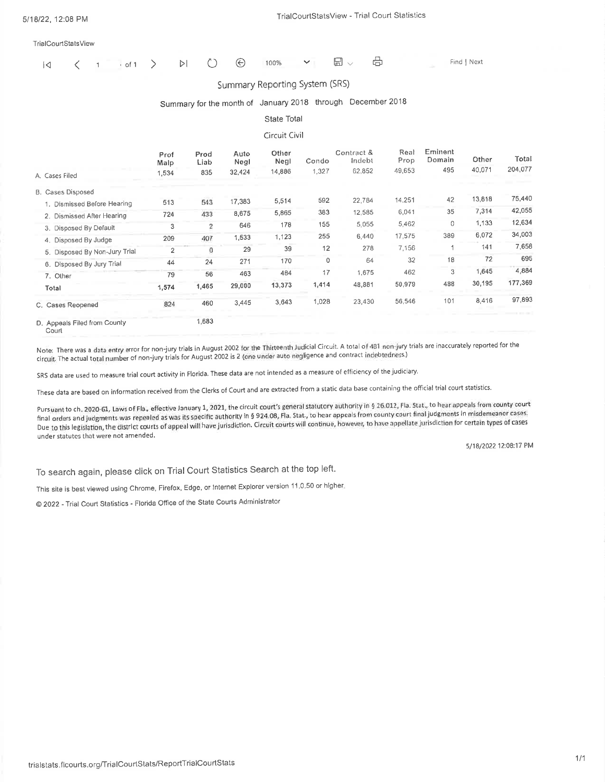| $\overline{a}$ |  |  | $1 \cdot of 1$ |  | $\triangleright$ | $\circlearrowright$ | $\odot$ | 100% |  | $\boxplus$ | - 60 | Find   Next |
|----------------|--|--|----------------|--|------------------|---------------------|---------|------|--|------------|------|-------------|
|----------------|--|--|----------------|--|------------------|---------------------|---------|------|--|------------|------|-------------|

#### Summary Reporting System (SRS)

## Summary for the month of January 2018 through December 2018

#### State Total

#### Circuit Civil

|                                       | Prof<br>Malp   | Prod<br>Liab | Auto<br>Negl | Other<br>Negl | Condo | Contract &<br>Indebt | Real<br>Prop | Eminent<br>Domain | Other  | Total   |
|---------------------------------------|----------------|--------------|--------------|---------------|-------|----------------------|--------------|-------------------|--------|---------|
| A. Cases Filed                        | 1,534          | 835          | 32,424       | 14,886        | 1,327 | 62,852               | 49,653       | 495               | 40,071 | 204,077 |
| <b>B. Cases Disposed</b>              |                |              |              |               |       |                      |              |                   |        |         |
| 1. Dismissed Before Hearing           | 513            | 543          | 17,383       | 5,514         | 592   | 22,784               | 14,251       | 42                | 13,818 | 75,440  |
| 2. Dismissed After Hearing            | 724            | 433          | 8,675        | 5,865         | 383   | 12,585               | 6,041        | 35                | 7,314  | 42,055  |
| 3. Disposed By Default                | 3              | 2            | 646          | 178           | 155   | 5,055                | 5,462        | 0                 | 1,133  | 12,634  |
| 4. Disposed By Judge                  | 209            | 407          | 1,533        | 1,123         | 255   | 6,440                | 17,575       | 389               | 6,072  | 34,003  |
| 5. Disposed By Non-Jury Trial         | $\overline{2}$ | 0            | 29           | 39            | 12    | 278                  | 7.156        |                   | 141    | 7,658   |
| 6. Disposed By Jury Trial             | 44             | 24           | 271          | 170           | 0     | 64                   | 32           | 18                | 72     | 695     |
| 7. Other                              | 79             | 56           | 463          | 484           | 17    | 1,675                | 462          | 3                 | 1,645  | 4,884   |
| Total                                 | 1,574          | 1,465        | 29,000       | 13,373        | 1,414 | 48,881               | 50,979       | 488               | 30,195 | 177,369 |
| C. Cases Reopened                     | 824            | 460          | 3,445        | 3,643         | 1,028 | 23,430               | 56,546       | 101               | 8,416  | 97,893  |
| D. Appeals Filed from County<br>Courl |                | 1,683        |              |               |       |                      |              |                   |        |         |

Note: There was a data entry error for non-jury trials in August 2002 for the Thirteenth Judicial Circuit. A total of 481 non-jury trials are inaccurately reported for the circuit. The actual total number of non-jury trials for August 2002 is 2 (one under auto negligence and contract indebtedness.)

SRS data are used to measure trial court activity in Florida. These data are not intended as a measure of efficiency of the judiciary.

These data are based on information received from the Clerks of Court and are extracted from a static data base containing the official trial court statistics.

Pursuant to ch. 2020-61, Laws of Fla., effective January 1, 2021, the circuit court's general statutory authority in § 26.012, Fla. Stat., to hear appeals from county court final orders and judgments was repealed as was its specific authority in § 924.08, Fla. Stat., to hear appeals from county court final judgments in misdemeanor cases. Due to this legislation, the district courts of appeal will have jurisdiction. Circuit courts will continue, however, to have appellate jurisdiction for certain types of cases under statutes that were not amended.

5/18/2022 12:08:17 PM

To search again, please click on Trial Court Statistics Search at the top left.

This site is best viewed using Chrome, Firefox, Edge, or Internet Explorer version 11.0.50 or higher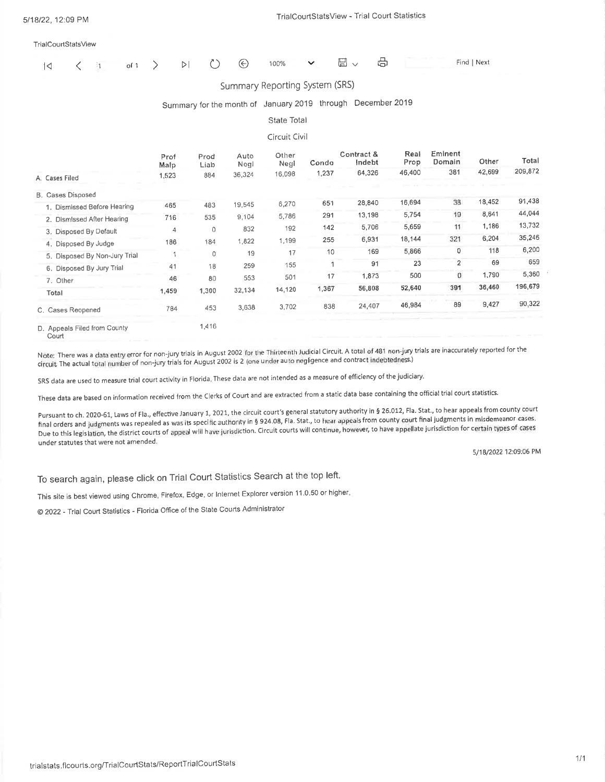| 14 | $\frac{1}{2}$ | of $1$ | $\rightarrow$ | $\triangleright$ | ⊌            | 100%                                                        | $\checkmark$         | $\boxplus$ $\checkmark$ | ₩ |              |                   | Find   Next |  |
|----|---------------|--------|---------------|------------------|--------------|-------------------------------------------------------------|----------------------|-------------------------|---|--------------|-------------------|-------------|--|
|    |               |        |               |                  |              | Summary Reporting System (SRS)                              |                      |                         |   |              |                   |             |  |
|    |               |        |               |                  |              | Summary for the month of January 2019 through December 2019 |                      |                         |   |              |                   |             |  |
|    |               |        |               |                  |              | State Total                                                 |                      |                         |   |              |                   |             |  |
|    |               |        |               |                  |              | Circuit Civil                                               |                      |                         |   |              |                   |             |  |
|    |               |        | Prof<br>Malp  | Prod<br>Liab     | Auto<br>Negl | Other<br>Negl                                               | Condo                | Contract &<br>Indebt    |   | Real<br>Prop | Eminent<br>Domain | Other       |  |
|    |               |        |               |                  | .            | $1 - 2 - 2$                                                 | $\sim$ $\sim$ $\sim$ | 0.4000                  |   | 10.100       | 201               | 12.00       |  |

| A. Cases Filed                | 1.523 | 884   | 36,324 | 16,098 | 1,237 | 64,326 | 46,400 | 381            | 42,699 | 209,872 |
|-------------------------------|-------|-------|--------|--------|-------|--------|--------|----------------|--------|---------|
| <b>B.</b> Cases Disposed      |       |       |        |        |       |        |        |                |        |         |
| 1. Dismissed Before Hearing   | 465   | 483   | 19,545 | 6,270  | 651   | 28,840 | 16,694 | 38             | 18,452 | 91,438  |
| 2. Dismissed After Hearing    | 716   | 535   | 9,104  | 5,786  | 291   | 13,198 | 5,754  | 19             | 8,641  | 44,044  |
| 3. Disposed By Default        | 4     | 0     | 832    | 192    | 142   | 5,706  | 5,659  | 11             | 1,186  | 13,732  |
| 4. Disposed By Judge          | 186   | 184   | 1,822  | 1,199  | 255   | 6,931  | 18,144 | 321            | 6,204  | 35,246  |
| 5. Disposed By Non-Jury Trial |       | 0     | 19     | 17     | 10    | 169    | 5,866  | 0              | 118    | 6,200   |
| 6. Disposed By Jury Trial     | 41    | 18    | 259    | 155    |       | 91     | 23     | $\overline{2}$ | 69     | 659     |
| 7. Other                      | 46    | 80    | 553    | 501    | 17    | 1,873  | 500    | 0              | 1,790  | 5,360   |
| Total                         | 1,459 | 1,300 | 32,134 | 14,120 | 1,367 | 56,808 | 52,640 | 391            | 36,460 | 196,679 |
| C. Cases Reopened             | 784   | 453   | 3,638  | 3,702  | 838   | 24,407 | 46,984 | 89             | 9,427  | 90,322  |
| D. Anneels Filed from County  |       | 1,416 |        |        |       |        |        |                |        |         |

D. Appeals Filed from County Court

Note: There was a data entry error for non-jury trials in August 2002 for the Thirteenth Judicial Circuit. A total of 481 non-jury trials are inaccurately reported for the circuit. The actual total number of non-jury trials for August 2002 is 2 (one under auto negligence and contract indebtedness.)

SRS data are used to measure trial court activity in Florida, These data are not intended as a measure of efficiency of the judiciary.

These data are based on information received from the Clerks of Court and are extracted from a static data base containing the official trial court statistics.

Pursuant to ch. 2020-61, Laws of Fla., effective January 1, 2021, the circuit court's general statutory authority in § 26.012, Fla. Stat., to hear appeals from county court final orders and judgments was repealed as was its specific authority in § 924.08, Fla. Stat., to hear appeals from county court final judgments in misdemeanor cases. Due to this legislation, the district courts of appeal will have jurisdiction. Circuit courts will continue, however, to have appellate jurisdiction for certain types of cases under statutes that were not amended.

5/18/2022 12:09:06 PM

Total

To search again, please click on Trial Court Statistics Search at the top left.

This site is best viewed using Chrome, Firefox, Edge, or Internet Explorer version 11.0.50 or higher,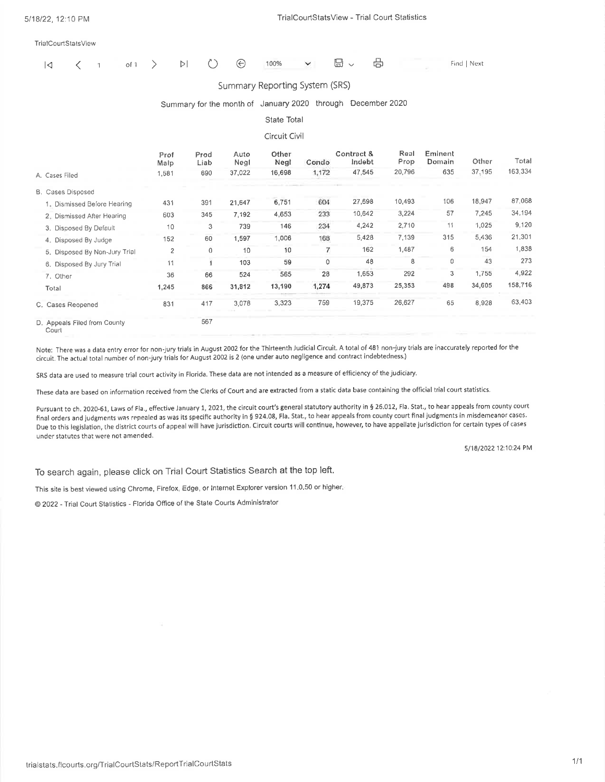|  |  |  |  |  | $    -$ |  |  |
|--|--|--|--|--|---------|--|--|

#### Summary Reporting System (SRS)

### Summary for the month of January 2020 through December 2020

#### State Total

#### Circuit Civil

|                               | Prof<br>Malp   | Prod<br>Liab | Auto<br>Negl | Other<br>Negl | Condo | Contract &<br>Indebt | Real<br>Prop | Eminent<br>Domain | Other  | Total   |
|-------------------------------|----------------|--------------|--------------|---------------|-------|----------------------|--------------|-------------------|--------|---------|
| A. Cases Filed                | 1,581          | 690          | 37,022       | 16,698        | 1,172 | 47,545               | 20,796       | 635               | 37,195 | 163,334 |
| B. Cases Disposed             |                |              |              |               |       |                      |              |                   |        |         |
| 1. Dismissed Before Hearing   | 431            | 391          | 21,647       | 6,751         | 604   | 27,698               | 10,493       | 106               | 18,947 | 87,068  |
| 2. Dismissed After Hearing    | 603            | 345          | 7.192        | 4,653         | 233   | 10,642               | 3,224        | 57                | 7,245  | 34,194  |
| 3. Disposed By Default        | 10             | 3            | 739          | 146           | 234   | 4,242                | 2,710        | 11                | 1,025  | 9,120   |
| 4. Disposed By Judge          | 152            | 60           | 1,597        | 1,006         | 168   | 5,428                | 7,139        | 315               | 5,436  | 21,301  |
| 5. Disposed By Non-Jury Trial | $\overline{2}$ | $\Omega$     | 10           | 10            |       | 162                  | 1,487        | 6                 | 154    | 1,838   |
| 6. Disposed By Jury Trial     | 11             |              | 103          | 59            | 0     | 48                   | 8            | 0                 | 43     | 273     |
| 7. Other                      | 36             | 66           | 524          | 565           | 28    | 1,653                | 292          | 3                 | 1,755  | 4,922   |
| Total                         | 1,245          | 866          | 31,812       | 13,190        | 1,274 | 49,873               | 25,353       | 498               | 34,605 | 158,716 |
| C. Cases Reopened             | 831            | 417          | 3,078        | 3,323         | 759   | 19,375               | 26,627       | 65                | 8,928  | 63,403  |
| D. Appeals Filed from County  |                | 567          |              |               |       |                      |              |                   |        |         |

Court

Note: There was a data entry error for non-jury trials in August 2002 for the Thirteenth Judicial Circuit. A total of 481 non-jury trials are inaccurately reported for the circuit. The actual total number of non-jury trials for August 2002 is 2 (one under auto negligence and contract indebtedness.)

SRS data are used to measure trial court activity in Florida. These data are not intended as a measure of efficiency of the judiciary.

These data are based on information received from the Clerks of Court and are extracted from a static data base containing the official trial court statistics.

Pursuant to ch. 2020-61, Laws of Fla., effective January 1, 2021, the circuit court's general statutory authority in § 26.012, Fla. Stat., to hear appeals from county court final orders and judgments was repealed as was its specific authority in § 924.08, Fla. Stat., to hear appeals from county court final judgments in misdemeanor cases. Due to this legislation, the district courts of appeal will have jurisdiction. Circuit courts will continue, however, to have appellate jurisdiction for certain types of cases under statutes that were not amended.

5/18/2022 12:10:24 PM

To search again, please click on Trial Court Statistics Search at the top left.

This site is best viewed using Chrome, Firefox, Edge, or Internet Explorer version 11.0.50 or higher.